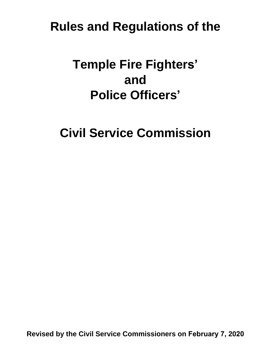## **Rules and Regulations of the**

# **Temple Fire Fighters' and Police Officers'**

**Civil Service Commission**

**Revised by the Civil Service Commissioners on February 7, 2020**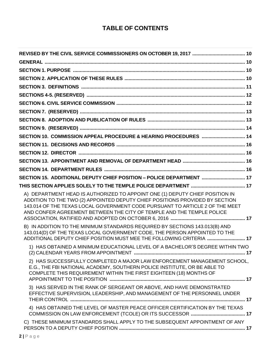## **TABLE OF CONTENTS**

| SECTION 10. COMMISSION APPEAL PROCEDURE & HEARING PROCEDURES  14                                                                                                                                                                                                                                                      |  |
|-----------------------------------------------------------------------------------------------------------------------------------------------------------------------------------------------------------------------------------------------------------------------------------------------------------------------|--|
|                                                                                                                                                                                                                                                                                                                       |  |
|                                                                                                                                                                                                                                                                                                                       |  |
|                                                                                                                                                                                                                                                                                                                       |  |
|                                                                                                                                                                                                                                                                                                                       |  |
| SECTION 15. ADDITIONAL DEPUTY CHIEF POSITION - POLICE DEPARTMENT  17                                                                                                                                                                                                                                                  |  |
|                                                                                                                                                                                                                                                                                                                       |  |
| A) DEPARTMENT HEAD IS AUTHORIZED TO APPOINT ONE (1) DEPUTY CHIEF POSITION IN<br>ADDITION TO THE TWO (2) APPOINTED DEPUTY CHIEF POSITIONS PROVIDED BY SECTION<br>143.014 OF THE TEXAS LOCAL GOVERNMENT CODE PURSUANT TO ARTICLE 2 OF THE MEET<br>AND CONFER AGREEMENT BETWEEN THE CITY OF TEMPLE AND THE TEMPLE POLICE |  |
| B) IN ADDITION TO THE MINIMUM STANDARDS REQUIRED BY SECTIONS 143.013(B) AND<br>143.014(D) OF THE TEXAS LOCAL GOVERNMENT CODE, THE PERSON APPOINTED TO THE<br>ADDITIONAL DEPUTY CHIEF POSITION MUST MEE THE FOLLOWING CRITERIA  17                                                                                     |  |
| 1) HAS OBTAINED A MINIMUM EDUCATIONAL LEVEL OF A BACHELOR'S DEGREE WITHIN TWO                                                                                                                                                                                                                                         |  |
| 2) HAS SUCCESSFULLY COMPLETED A MAJOR LAW ENFORCEMENT MANAGEMENT SCHOOL,<br>E.G., THE FBI NATIONAL ACADEMY, SOUTHERN POLICE INSTITUTE, OR BE ABLE TO<br>COMPLETE THIS REQUIREMENT WITHIN THE FIRST EIGHTEEN (18) MONTHS OF                                                                                            |  |
| 3) HAS SERVED IN THE RANK OF SERGEANT OR ABOVE, AND HAVE DEMONSTRATED<br>EFFECTIVE SUPERVISION, LEADERSHIP, AND MANAGEMENT OF THE PERSONNEL UNDER                                                                                                                                                                     |  |
| 4) HAS OBTAINED THE LEVEL OF MASTER PEACE OFFICER CERTIFICATION BY THE TEXAS                                                                                                                                                                                                                                          |  |
| C) THESE MINIMUM STANDARDS SHALL APPLY TO THE SUBSEQUENT APPOINTMENT OF ANY                                                                                                                                                                                                                                           |  |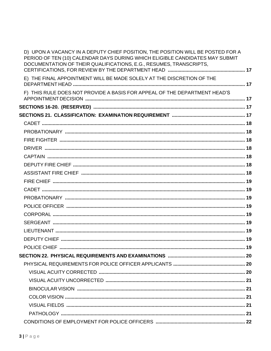| D) UPON A VACANCY IN A DEPUTY CHIEF POSITION, THE POSITION WILL BE POSTED FOR A<br>PERIOD OF TEN (10) CALENDAR DAYS DURING WHICH ELIGIBLE CANDIDATES MAY SUBMIT<br>DOCUMENTATION OF THEIR QUALIFICATIONS, E.G., RESUMES, TRANSCRIPTS, |  |
|---------------------------------------------------------------------------------------------------------------------------------------------------------------------------------------------------------------------------------------|--|
| E) THE FINAL APPOINTMENT WILL BE MADE SOLELY AT THE DISCRETION OF THE                                                                                                                                                                 |  |
| F) THIS RULE DOES NOT PROVIDE A BASIS FOR APPEAL OF THE DEPARTMENT HEAD'S                                                                                                                                                             |  |
|                                                                                                                                                                                                                                       |  |
|                                                                                                                                                                                                                                       |  |
|                                                                                                                                                                                                                                       |  |
|                                                                                                                                                                                                                                       |  |
|                                                                                                                                                                                                                                       |  |
|                                                                                                                                                                                                                                       |  |
|                                                                                                                                                                                                                                       |  |
|                                                                                                                                                                                                                                       |  |
|                                                                                                                                                                                                                                       |  |
|                                                                                                                                                                                                                                       |  |
|                                                                                                                                                                                                                                       |  |
|                                                                                                                                                                                                                                       |  |
|                                                                                                                                                                                                                                       |  |
|                                                                                                                                                                                                                                       |  |
|                                                                                                                                                                                                                                       |  |
|                                                                                                                                                                                                                                       |  |
|                                                                                                                                                                                                                                       |  |
| POLICE CHIEF<br>19                                                                                                                                                                                                                    |  |
|                                                                                                                                                                                                                                       |  |
|                                                                                                                                                                                                                                       |  |
|                                                                                                                                                                                                                                       |  |
|                                                                                                                                                                                                                                       |  |
|                                                                                                                                                                                                                                       |  |
|                                                                                                                                                                                                                                       |  |
|                                                                                                                                                                                                                                       |  |
|                                                                                                                                                                                                                                       |  |
|                                                                                                                                                                                                                                       |  |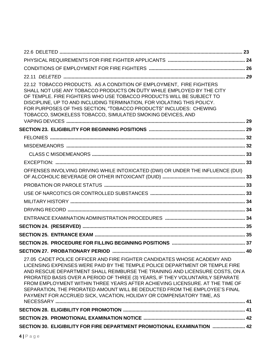| 22.12 TOBACCO PRODUCTS. AS A CONDITION OF EMPLOYMENT, FIRE FIGHTERS<br>SHALL NOT USE ANY TOBACCO PRODUCTS ON DUTY WHILE EMPLOYED BY THE CITY<br>OF TEMPLE, FIRE FIGHTERS WHO USE TOBACCO PRODUCTS WILL BE SUBJECT TO<br>DISCIPLINE, UP TO AND INCLUDING TERMINATION, FOR VIOLATING THIS POLICY.<br>FOR PURPOSES OF THIS SECTION, "TOBACCO PRODUCTS" INCLUDES: CHEWING<br>TOBACCO, SMOKELESS TOBACCO, SIMULATED SMOKING DEVICES, AND                                                                                                                            |  |
|----------------------------------------------------------------------------------------------------------------------------------------------------------------------------------------------------------------------------------------------------------------------------------------------------------------------------------------------------------------------------------------------------------------------------------------------------------------------------------------------------------------------------------------------------------------|--|
|                                                                                                                                                                                                                                                                                                                                                                                                                                                                                                                                                                |  |
|                                                                                                                                                                                                                                                                                                                                                                                                                                                                                                                                                                |  |
|                                                                                                                                                                                                                                                                                                                                                                                                                                                                                                                                                                |  |
|                                                                                                                                                                                                                                                                                                                                                                                                                                                                                                                                                                |  |
|                                                                                                                                                                                                                                                                                                                                                                                                                                                                                                                                                                |  |
| OFFENSES INVOLVING DRIVING WHILE INTOXICATED (DWI) OR UNDER THE INFLUENCE (DUI)                                                                                                                                                                                                                                                                                                                                                                                                                                                                                |  |
|                                                                                                                                                                                                                                                                                                                                                                                                                                                                                                                                                                |  |
|                                                                                                                                                                                                                                                                                                                                                                                                                                                                                                                                                                |  |
|                                                                                                                                                                                                                                                                                                                                                                                                                                                                                                                                                                |  |
|                                                                                                                                                                                                                                                                                                                                                                                                                                                                                                                                                                |  |
|                                                                                                                                                                                                                                                                                                                                                                                                                                                                                                                                                                |  |
|                                                                                                                                                                                                                                                                                                                                                                                                                                                                                                                                                                |  |
|                                                                                                                                                                                                                                                                                                                                                                                                                                                                                                                                                                |  |
|                                                                                                                                                                                                                                                                                                                                                                                                                                                                                                                                                                |  |
|                                                                                                                                                                                                                                                                                                                                                                                                                                                                                                                                                                |  |
| 27.05 CADET POLICE OFFICER AND FIRE FIGHTER CANDIDATES WHOSE ACADEMY AND<br>LICENSING EXPENSES WERE PAID BY THE TEMPLE POLICE DEPARTMENT OR TEMPLE FIRE<br>AND RESCUE DEPARTMENT SHALL REIMBURSE THE TRAINING AND LICENSURE COSTS, ON A<br>PRORATED BASIS OVER A PERIOD OF THREE (3) YEARS, IF THEY VOLUNTARILY SEPARATE<br>FROM EMPLOYMENT WITHIN THREE YEARS AFTER ACHIEVING LICENSURE. AT THE TIME OF<br>SEPARATION, THE PRORATED AMOUNT WILL BE DEDUCTED FROM THE EMPLOYEE'S FINAL<br>PAYMENT FOR ACCRUED SICK, VACATION, HOLIDAY OR COMPENSATORY TIME, AS |  |
|                                                                                                                                                                                                                                                                                                                                                                                                                                                                                                                                                                |  |
|                                                                                                                                                                                                                                                                                                                                                                                                                                                                                                                                                                |  |
| SECTION 30. ELIGIBILITY FOR FIRE DEPARTMENT PROMOTIONAL EXAMINATION  42                                                                                                                                                                                                                                                                                                                                                                                                                                                                                        |  |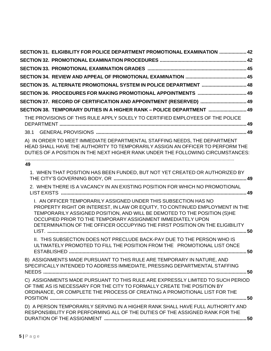|    | SECTION 31. ELIGIBILITY FOR POLICE DEPARTMENT PROMOTIONAL EXAMINATION  42                                                                                                                                                                                                                                                                                                  |
|----|----------------------------------------------------------------------------------------------------------------------------------------------------------------------------------------------------------------------------------------------------------------------------------------------------------------------------------------------------------------------------|
|    |                                                                                                                                                                                                                                                                                                                                                                            |
|    |                                                                                                                                                                                                                                                                                                                                                                            |
|    |                                                                                                                                                                                                                                                                                                                                                                            |
|    | SECTION 35. ALTERNATE PROMOTIONAL SYSTEM IN POLICE DEPARTMENT  48                                                                                                                                                                                                                                                                                                          |
|    | SECTION 36. PROCEDURES FOR MAKING PROMOTIONAL APPOINTMENTS  49                                                                                                                                                                                                                                                                                                             |
|    | SECTION 37. RECORD OF CERTIFICATION AND APPOINTMENT (RESERVED)  49                                                                                                                                                                                                                                                                                                         |
|    | SECTION 38. TEMPORARY DUTIES IN A HIGHER RANK - POLICE DEPARTMENT  49                                                                                                                                                                                                                                                                                                      |
|    | THE PROVISIONS OF THIS RULE APPLY SOLELY TO CERTIFIED EMPLOYEES OF THE POLICE                                                                                                                                                                                                                                                                                              |
|    |                                                                                                                                                                                                                                                                                                                                                                            |
|    | A) IN ORDER TO MEET IMMEDIATE DEPARTMENTAL STAFFING NEEDS, THE DEPARTMENT<br>HEAD SHALL HAVE THE AUTHORITY TO TEMPORARILY ASSIGN AN OFFICER TO PERFORM THE<br>DUTIES OF A POSITION IN THE NEXT HIGHER RANK UNDER THE FOLLOWING CIRCUMSTANCES:                                                                                                                              |
| 49 |                                                                                                                                                                                                                                                                                                                                                                            |
|    | 1. WHEN THAT POSITION HAS BEEN FUNDED, BUT NOT YET CREATED OR AUTHORIZED BY                                                                                                                                                                                                                                                                                                |
|    | 2. WHEN THERE IS A VACANCY IN AN EXISTING POSITION FOR WHICH NO PROMOTIONAL                                                                                                                                                                                                                                                                                                |
|    | I. AN OFFICER TEMPORARILY ASSIGNED UNDER THIS SUBSECTION HAS NO<br>PROPERTY RIGHT OR INTEREST, IN LAW OR EQUITY, TO CONTINUED EMPLOYMENT IN THE<br>TEMPORARILY ASSIGNED POSITION, AND WILL BE DEMOTED TO THE POSITION (S)HE<br>OCCUPIED PRIOR TO THE TEMPORARY ASSIGNMENT IMMEDIATELY UPON<br>DETERMINATION OF THE OFFICER OCCUPYING THE FIRST POSITION ON THE ELIGIBILITY |
|    | II. THIS SUBSECTION DOES NOT PRECLUDE BACK-PAY DUE TO THE PERSON WHO IS<br>ULTIMATELY PROMOTED TO FILL THE POSITION FROM THE PROMOTIONAL LIST ONCE                                                                                                                                                                                                                         |
|    | B) ASSIGNMENTS MADE PURSUANT TO THIS RULE ARE TEMPORARY IN NATURE, AND<br>SPECIFICALLY INTENDED TO ADDRESS IMMEDIATE, PRESSING DEPARTMENTAL STAFFING                                                                                                                                                                                                                       |
|    | C) ASSIGNMENTS MADE PURSUANT TO THIS RULE ARE EXPRESSLY LIMITED TO SUCH PERIOD<br>OF TIME AS IS NECESSARY FOR THE CITY TO FORMALLY CREATE THE POSITION BY<br>ORDINANCE, OR COMPLETE THE PROCESS OF CREATING A PROMOTIONAL LIST FOR THE                                                                                                                                     |
|    | D) A PERSON TEMPORARILY SERVING IN A HIGHER RANK SHALL HAVE FULL AUTHORITY AND<br>RESPONSIBILITY FOR PERFORMING ALL OF THE DUTIES OF THE ASSIGNED RANK FOR THE                                                                                                                                                                                                             |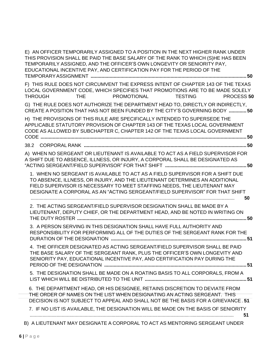| E) AN OFFICER TEMPORARILY ASSIGNED TO A POSITION IN THE NEXT HIGHER RANK UNDER<br>THIS PROVISION SHALL BE PAID THE BASE SALARY OF THE RANK TO WHICH (S)HE HAS BEEN<br>TEMPORARILY ASSIGNED, AND THE OFFICER'S OWN LONGEVITY OR SENIORITY PAY,<br>EDUCATIONAL INCENTIVE PAY, AND CERTIFICATION PAY FOR THE PERIOD OF THE  |      |             |                |                   |    |
|--------------------------------------------------------------------------------------------------------------------------------------------------------------------------------------------------------------------------------------------------------------------------------------------------------------------------|------|-------------|----------------|-------------------|----|
| F) THIS RULE DOES NOT CIRCUMVENT THE EXPRESS INTENT OF CHAPTER 143 OF THE TEXAS<br>LOCAL GOVERNMENT CODE, WHICH SPECIFIES THAT PROMOTIONS ARE TO BE MADE SOLELY<br><b>THROUGH</b>                                                                                                                                        | THE. | PROMOTIONAL | <b>TESTING</b> | <b>PROCESS 50</b> |    |
| G) THE RULE DOES NOT AUTHORIZE THE DEPARTMENT HEAD TO, DIRECTLY OR INDIRECTLY,<br>CREATE A POSITION THAT HAS NOT BEEN FUNDED BY THE CITY'S GOVERNING BODY  50                                                                                                                                                            |      |             |                |                   |    |
| H) THE PROVISIONS OF THIS RULE ARE SPECIFICALLY INTENDED TO SUPERSEDE THE<br>APPLICABLE STATUTORY PROVISION OF CHAPTER 143 OF THE TEXAS LOCAL GOVERNMENT<br>CODE AS ALLOWED BY SUBCHAPTER C, CHAPTER 142 OF THE TEXAS LOCAL GOVERNMENT                                                                                   |      |             |                |                   |    |
|                                                                                                                                                                                                                                                                                                                          |      |             |                |                   |    |
| A) WHEN NO SERGEANT OR LIEUTENANT IS AVAILABLE TO ACT AS A FIELD SUPERVISOR FOR<br>A SHIFT DUE TO ABSENCE, ILLNESS, OR INJURY, A CORPORAL SHALL BE DESIGNATED AS                                                                                                                                                         |      |             |                |                   |    |
| 1. WHEN NO SERGEANT IS AVAILABLE TO ACT AS A FIELD SUPERVISOR FOR A SHIFT DUE<br>TO ABSENCE, ILLNESS, OR INJURY, AND THE LIEUTENANT DETERMINES AN ADDITIONAL<br>FIELD SUPERVISOR IS NECESSARY TO MEET STAFFING NEEDS, THE LIEUTENANT MAY<br>DESIGNATE A CORPORAL AS AN "ACTING SERGEANT/FIELD SUPERVISOR" FOR THAT SHIFT |      |             |                |                   | 50 |
| 2. THE ACTING SERGEANT/FIELD SUPERVISOR DESIGNATION SHALL BE MADE BY A<br>LIEUTENANT, DEPUTY CHIEF, OR THE DEPARTMENT HEAD, AND BE NOTED IN WRITING ON                                                                                                                                                                   |      |             |                |                   |    |
| 3. A PERSON SERVING IN THIS DESIGNATION SHALL HAVE FULL AUTHORITY AND<br>RESPONSIBILITY FOR PERFORMING ALL OF THE DUTIES OF THE SERGEANT RANK FOR THE                                                                                                                                                                    |      |             |                |                   |    |
| 4. THE OFFICER DESIGNATED AS ACTING SERGEANT/FIELD SUPERVISOR SHALL BE PAID<br>THE BASE SALARY OF THE SERGEANT RANK, PLUS THE OFFICER'S OWN LONGEVITY AND<br>SENIORITY PAY, EDUCATIONAL INCENTIVE PAY, AND CERTIFICATION PAY DURING THE                                                                                  |      |             |                |                   |    |
| 5. THE DESIGNATION SHALL BE MADE ON A ROATING BASIS TO ALL CORPORALS, FROM A                                                                                                                                                                                                                                             |      |             |                |                   |    |
| 6. THE DEPARTMENT HEAD, OR HIS DESIGNEE, RETAINS DISCRETION TO DEVIATE FROM<br>THE ORDER OF NAMES ON THE LIST WHEN DESIGNATING AN ACTING SERGEANT. THIS<br>DECISION IS NOT SUBJECT TO APPEAL AND SHALL NOT BE THE BASIS FOR A GRIEVANCE. 51                                                                              |      |             |                |                   |    |
| 7. IF NO LIST IS AVAILABLE, THE DESIGNATION WILL BE MADE ON THE BASIS OF SENIORITY                                                                                                                                                                                                                                       |      |             |                |                   | 51 |
| B) A LIEUTENANT MAY DESIGNATE A CORPORAL TO ACT AS MENTORING SERGEANT UNDER                                                                                                                                                                                                                                              |      |             |                |                   |    |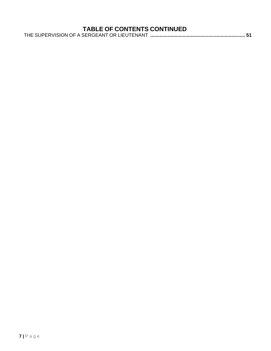|  | THE SUPERVISION OF A SERGEANT OR LIEUTENANT …………………………………………………………………………………………51 |  |
|--|----------------------------------------------------------------------------------|--|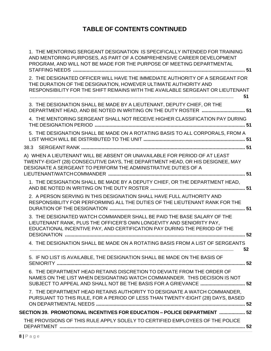| 1. THE MENTORING SERGEANT DESIGNATION IS SPECIFICALLY INTENDED FOR TRAINING<br>AND MENTORING PURPOSES, AS PART OF A COMPREHENSIVE CAREER DEVELOPMENT<br>PROGRAM, AND WILL NOT BE MADE FOR THE PURPOSE OF MEETING DEPARTMENTAL            |
|------------------------------------------------------------------------------------------------------------------------------------------------------------------------------------------------------------------------------------------|
| 2. THE DESIGNATED OFFICER WILL HAVE THE IMMEDIATE AUTHORITY OF A SERGEANT FOR<br>THE DURATION OF THE DESIGNATION, HOWEVER ULTIMATE AUTHORITY AND<br>RESPONSIBILITY FOR THE SHIFT REMAINS WITH THE AVAILABLE SERGEANT OR LIEUTENANT<br>51 |
| 3. THE DESIGNATION SHALL BE MADE BY A LIEUTENANT, DEPUTY CHIEF, OR THE<br>DEPARTMENT HEAD, AND BE NOTED IN WRITING ON THE DUTY ROSTER  51                                                                                                |
| 4. THE MENTORING SERGEANT SHALL NOT RECEIVE HIGHER CLASSIFICATION PAY DURING                                                                                                                                                             |
| 5. THE DESIGNATION SHALL BE MADE ON A ROTATING BASIS TO ALL CORPORALS, FROM A                                                                                                                                                            |
|                                                                                                                                                                                                                                          |
| A) WHEN A LIEUTENANT WILL BE ABSENT OR UNAVAILABLE FOR PERIOD OF AT LEAST<br>TWENTY-EIGHT (28) CONSECUTIVE DAYS, THE DEPARTMENT HEAD, OR HIS DESIGNEE, MAY<br>DESIGNATE A SERGEANT TO PERFORM THE ADMINISTRATIVE DUTIES OF A             |
| 1. THE DESIGNATION SHALL BE MADE BY A DEPUTY CHIEF, OR THE DEPARTMENT HEAD,                                                                                                                                                              |
| 2. A PERSON SERVING IN THIS DESIGNATION SHALL HAVE FULL AUTHORITY AND<br>RESPONSIBILITY FOR PERFORMING ALL THE DUTIES OF THE LIEUTENANT RANK FOR THE                                                                                     |
| 3. THE DESIGNATED WATCH COMMANDER SHALL BE PAID THE BASE SALARY OF THE<br>LIEUTENANT RANK, PLUS THE OFFICER'S OWN LONGEVITY AND SENIORITY PAY,<br>EDUCATIONAL INCENTIVE PAY, AND CERTIFICATION PAY DURING THE PERIOD OF THE              |
| 4. THE DESIGNATION SHALL BE MADE ON A ROTATING BASIS FROM A LIST OF SERGEANTS<br>52                                                                                                                                                      |
| 5. IF NO LIST IS AVAILABLE, THE DESIGNATION SHALL BE MADE ON THE BASIS OF                                                                                                                                                                |
| 6. THE DEPARTMENT HEAD RETAINS DISCRETION TO DEVIATE FROM THE ORDER OF<br>NAMES ON THE LIST WHEN DESIGNATING WATCH COMMANNDER. THIS DECISION IS NOT<br>SUBJECT TO APPEAL AND SHALL NOT BE THE BASIS FOR A GRIEVANCE  52                  |
| 7. THE DEPARTMENT HEAD RETAINS AUTHORITY TO DESIGNATE A WATCH COMMANDER,<br>PURSUANT TO THIS RULE, FOR A PERIOD OF LESS THAN TWENTY-EIGHT (28) DAYS, BASED                                                                               |
| SECTION 39. PROMOTIONAL INCENTIVES FOR EDUCATION - POLICE DEPARTMENT  52                                                                                                                                                                 |
| THE PROVISIONS OF THIS RULE APPLY SOLELY TO CERTIFIED EMPLOYEES OF THE POLICE                                                                                                                                                            |
|                                                                                                                                                                                                                                          |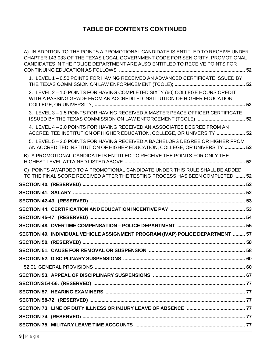| A) IN ADDITION TO THE POINTS A PROMOTIONAL CANDIDATE IS ENTITLED TO RECEIVE UNDER<br>CHAPTER 143.033 OF THE TEXAS LOCAL GOVERNMENT CODE FOR SENIORITY, PROMOTIONAL<br>CANDIDATES IN THE POLICE DEPARTMENT ARE ALSO ENTITLED TO RECEIVE POINTS FOR |  |
|---------------------------------------------------------------------------------------------------------------------------------------------------------------------------------------------------------------------------------------------------|--|
| 1. LEVEL 1-0.50 POINTS FOR HAVING RECEIVED AN ADVANCED CERTIFICATE ISSUED BY                                                                                                                                                                      |  |
| 2. LEVEL 2 - 1.0 POINTS FOR HAVING COMPLETED SIXTY (60) COLLEGE HOURS CREDIT<br>WITH A PASSING GRADE FROM AN ACCREDITED INSTITUTION OF HIGHER EDUCATION,                                                                                          |  |
| 3. LEVEL 3 - 1.5 POINTS FOR HAVING RECEIVED A MASTER PEACE OFFICER CERTIFICATE                                                                                                                                                                    |  |
| 4. LEVEL 4-2.0 POINTS FOR HAVING RECEIVED AN ASSOCIATES DEGREE FROM AN<br>ACCREDITED INSTITUTION OF HIGHER EDUCATION, COLLEGE, OR UNIVERSITY  52                                                                                                  |  |
| 5. LEVEL 5-3.0 POINTS FOR HAVING RECEIVED A BACHELORS DEGREE OR HIGHER FROM<br>AN ACCREDITED INSTITUTION OF HIGHER EDUCATION, COLLEGE, OR UNIVERSITY  52                                                                                          |  |
| B) A PROMOTIONAL CANDIDATE IS ENTITLED TO RECEIVE THE POINTS FOR ONLY THE                                                                                                                                                                         |  |
| C) POINTS AWARDED TO A PROMOTIONAL CANDIDATE UNDER THIS RULE SHALL BE ADDED<br>TO THE FINAL SCORE RECEIVED AFTER THE TESTING PROCESS HAS BEEN COMPLETED  52                                                                                       |  |
|                                                                                                                                                                                                                                                   |  |
|                                                                                                                                                                                                                                                   |  |
|                                                                                                                                                                                                                                                   |  |
|                                                                                                                                                                                                                                                   |  |
|                                                                                                                                                                                                                                                   |  |
|                                                                                                                                                                                                                                                   |  |
| SECTION 49. INDIVIDUAL VEHICLE ASSIGNMENT PROGRAM (IVAP) POLICE DEPARTMENT  57                                                                                                                                                                    |  |
|                                                                                                                                                                                                                                                   |  |
|                                                                                                                                                                                                                                                   |  |
|                                                                                                                                                                                                                                                   |  |
|                                                                                                                                                                                                                                                   |  |
|                                                                                                                                                                                                                                                   |  |
|                                                                                                                                                                                                                                                   |  |
|                                                                                                                                                                                                                                                   |  |
|                                                                                                                                                                                                                                                   |  |
|                                                                                                                                                                                                                                                   |  |
|                                                                                                                                                                                                                                                   |  |
|                                                                                                                                                                                                                                                   |  |
|                                                                                                                                                                                                                                                   |  |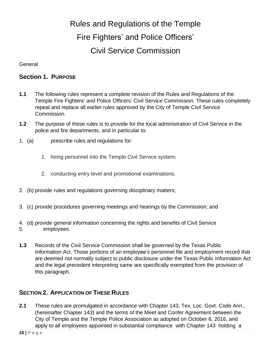## Rules and Regulations of the Temple Fire Fighters' and Police Officers' Civil Service Commission

**General** 

#### **Section 1. PURPOSE**

- **1.1** The following rules represent a complete revision of the Rules and Regulations of the Temple Fire Fighters' and Police Officers' Civil Service Commission. These rules completely repeal and replace all earlier rules approved by the City of Temple Civil Service Commission.
- **1.2** The purpose of these rules is to provide for the local administration of Civil Service in the police and fire departments, and in particular to:
- 1. (a) prescribe rules and regulations for:
	- 1. hiring personnel into the Temple Civil Service system;
	- 2. conducting entry level and promotional examinations;
- 2. (b) provide rules and regulations governing disciplinary matters;
- 3. (c) provide procedures governing meetings and hearings by the Commission; and
- 4. (d) provide general information concerning the rights and benefits of Civil Service
- 5. employees.
- **1.3** Records of the Civil Service Commission shall be governed by the Texas Public Information Act. Those portions of an employee's personnel file and employment record that are deemed not normally subject to public disclosure under the Texas Public Information Act and the legal precedent interpreting same are specifically exempted from the provision of this paragraph.

#### **SECTION 2. APPLICATION OF THESE RULES**

**2.1** These rules are promulgated in accordance with Chapter 143, Tex. Loc. Govt. Code Ann., (hereinafter Chapter 143) and the terms of the Meet and Confer Agreement between the City of Temple and the Temple Police Association as adopted on October 6, 2016, and apply to all employees appointed in substantial compliance with Chapter 143 holding a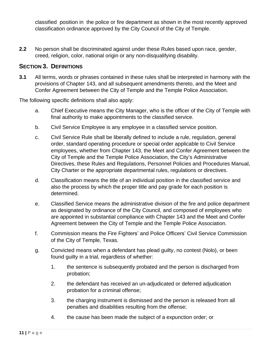classified position in the police or fire department as shown in the most recently approved classification ordinance approved by the City Council of the City of Temple.

**2.2** No person shall be discriminated against under these Rules based upon race, gender, creed, religion, color, national origin or any non-disqualifying disability.

#### **SECTION 3. DEFINITIONS**

**3.1** All terms, words or phrases contained in these rules shall be interpreted in harmony with the provisions of Chapter 143, and all subsequent amendments thereto, and the Meet and Confer Agreement between the City of Temple and the Temple Police Association.

The following specific definitions shall also apply:

- a. Chief Executive means the City Manager, who is the officer of the City of Temple with final authority to make appointments to the classified service.
- b. Civil Service Employee is any employee in a classified service position.
- c. Civil Service Rule shall be liberally defined to include a rule, regulation, general order, standard operating procedure or special order applicable to Civil Service employees, whether from Chapter 143, the Meet and Confer Agreement between the City of Temple and the Temple Police Association, the City's Administrative Directives, these Rules and Regulations, Personnel Policies and Procedures Manual, City Charter or the appropriate departmental rules, regulations or directives.
- d. Classification means the title of an individual position in the classified service and also the process by which the proper title and pay grade for each position is determined.
- e. Classified Service means the administrative division of the fire and police department as designated by ordinance of the City Council, and composed of employees who are appointed in substantial compliance with Chapter 143 and the Meet and Confer Agreement between the City of Temple and the Temple Police Association.
- f. Commission means the Fire Fighters' and Police Officers' Civil Service Commission of the City of Temple, Texas.
- g. Convicted means when a defendant has plead guilty, no contest (Nolo), or been found guilty in a trial, regardless of whether:
	- 1. the sentence is subsequently probated and the person is discharged from probation;
	- 2. the defendant has received an un-adjudicated or deferred adjudication probation for a criminal offense;
	- 3. the charging instrument is dismissed and the person is released from all penalties and disabilities resulting from the offense;
	- 4. the cause has been made the subject of a expunction order; or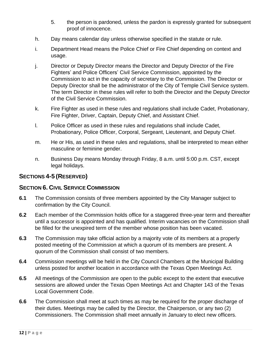- 5. the person is pardoned, unless the pardon is expressly granted for subsequent proof of innocence.
- h. Day means calendar day unless otherwise specified in the statute or rule.
- i. Department Head means the Police Chief or Fire Chief depending on context and usage.
- j. Director or Deputy Director means the Director and Deputy Director of the Fire Fighters' and Police Officers' Civil Service Commission, appointed by the Commission to act in the capacity of secretary to the Commission. The Director or Deputy Director shall be the administrator of the City of Temple Civil Service system. The term Director in these rules will refer to both the Director and the Deputy Director of the Civil Service Commission.
- k. Fire Fighter as used in these rules and regulations shall include Cadet, Probationary, Fire Fighter, Driver, Captain, Deputy Chief, and Assistant Chief.
- l. Police Officer as used in these rules and regulations shall include Cadet, Probationary, Police Officer, Corporal, Sergeant, Lieutenant, and Deputy Chief.
- m. He or His, as used in these rules and regulations, shall be interpreted to mean either masculine or feminine gender.
- n. Business Day means Monday through Friday, 8 a.m. until 5:00 p.m. CST, except legal holidays.

#### **SECTIONS 4-5 (RESERVED)**

#### **SECTION 6. CIVIL SERVICE COMMISSION**

- **6.1** The Commission consists of three members appointed by the City Manager subject to confirmation by the City Council.
- **6.2** Each member of the Commission holds office for a staggered three-year term and thereafter until a successor is appointed and has qualified. Interim vacancies on the Commission shall be filled for the unexpired term of the member whose position has been vacated.
- **6.3** The Commission may take official action by a majority vote of its members at a properly posted meeting of the Commission at which a quorum of its members are present. A quorum of the Commission shall consist of two members.
- **6.4** Commission meetings will be held in the City Council Chambers at the Municipal Building unless posted for another location in accordance with the Texas Open Meetings Act.
- **6.5** All meetings of the Commission are open to the public except to the extent that executive sessions are allowed under the Texas Open Meetings Act and Chapter 143 of the Texas Local Government Code.
- **6.6** The Commission shall meet at such times as may be required for the proper discharge of their duties. Meetings may be called by the Director, the Chairperson, or any two (2) Commissioners. The Commission shall meet annually in January to elect new officers.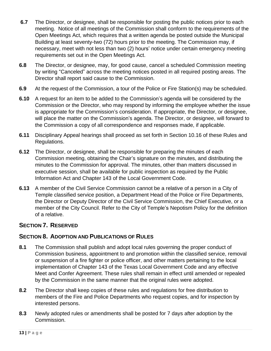- **6.7** The Director, or designee, shall be responsible for posting the public notices prior to each meeting. Notice of all meetings of the Commission shall conform to the requirements of the Open Meetings Act, which requires that a written agenda be posted outside the Municipal Building at least seventy-two (72) hours prior to the meeting. The Commission may, if necessary, meet with not less than two (2) hours' notice under certain emergency meeting requirements set out in the Open Meetings Act.
- **6.8** The Director, or designee, may, for good cause, cancel a scheduled Commission meeting by writing "Canceled" across the meeting notices posted in all required posting areas. The Director shall report said cause to the Commission.
- **6.9** At the request of the Commission, a tour of the Police or Fire Station(s) may be scheduled.
- **6.10** A request for an item to be added to the Commission's agenda will be considered by the Commission or the Director, who may respond by informing the employee whether the issue is appropriate for the Commission's consideration. If appropriate, the Director, or designee, will place the matter on the Commission's agenda. The Director, or designee, will forward to the Commission a copy of all correspondence and responses made, if applicable.
- **6.11** Disciplinary Appeal hearings shall proceed as set forth in Section 10.16 of these Rules and Regulations.
- **6.12** The Director, or designee, shall be responsible for preparing the minutes of each Commission meeting, obtaining the Chair's signature on the minutes, and distributing the minutes to the Commission for approval. The minutes, other than matters discussed in executive session, shall be available for public inspection as required by the Public Information Act and Chapter 143 of the Local Government Code.
- **6.13** A member of the Civil Service Commission cannot be a relative of a person in a City of Temple classified service position, a Department Head of the Police or Fire Departments, the Director or Deputy Director of the Civil Service Commission, the Chief Executive, or a member of the City Council. Refer to the City of Temple's Nepotism Policy for the definition of a relative.

#### **SECTION 7. RESERVED**

#### **SECTION 8. ADOPTION AND PUBLICATIONS OF RULES**

- **8.1** The Commission shall publish and adopt local rules governing the proper conduct of Commission business, appointment to and promotion within the classified service, removal or suspension of a fire fighter or police officer, and other matters pertaining to the local implementation of Chapter 143 of the Texas Local Government Code and any effective Meet and Confer Agreement. These rules shall remain in effect until amended or repealed by the Commission in the same manner that the original rules were adopted.
- **8.2** The Director shall keep copies of these rules and regulations for free distribution to members of the Fire and Police Departments who request copies, and for inspection by interested persons.
- **8.3** Newly adopted rules or amendments shall be posted for 7 days after adoption by the Commission.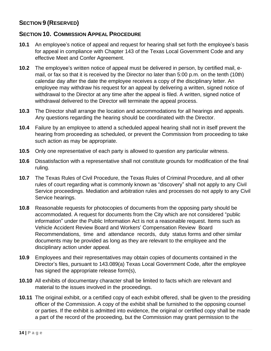## **SECTION 9 (RESERVED)**

#### **SECTION 10. COMMISSION APPEAL PROCEDURE**

- **10.1** An employee's notice of appeal and request for hearing shall set forth the employee's basis for appeal in compliance with Chapter 143 of the Texas Local Government Code and any effective Meet and Confer Agreement.
- **10.2** The employee's written notice of appeal must be delivered in person, by certified mail, email, or fax so that it is received by the Director no later than 5:00 p.m. on the tenth (10th) calendar day after the date the employee receives a copy of the disciplinary letter. An employee may withdraw his request for an appeal by delivering a written, signed notice of withdrawal to the Director at any time after the appeal is filed. A written, signed notice of withdrawal delivered to the Director will terminate the appeal process.
- **10.3** The Director shall arrange the location and accommodations for all hearings and appeals. Any questions regarding the hearing should be coordinated with the Director.
- **10.4** Failure by an employee to attend a scheduled appeal hearing shall not in itself prevent the hearing from proceeding as scheduled, or prevent the Commission from proceeding to take such action as may be appropriate.
- **10.5** Only one representative of each party is allowed to question any particular witness.
- **10.6** Dissatisfaction with a representative shall not constitute grounds for modification of the final ruling.
- **10.7** The Texas Rules of Civil Procedure, the Texas Rules of Criminal Procedure, and all other rules of court regarding what is commonly known as "discovery" shall not apply to any Civil Service proceedings. Mediation and arbitration rules and processes do not apply to any Civil Service hearings.
- **10.8** Reasonable requests for photocopies of documents from the opposing party should be accommodated. A request for documents from the City which are not considered "public information" under the Public Information Act is not a reasonable request. Items such as Vehicle Accident Review Board and Workers' Compensation Review Board Recommendations, time and attendance records, duty status forms and other similar documents may be provided as long as they are relevant to the employee and the disciplinary action under appeal.
- **10.9** Employees and their representatives may obtain copies of documents contained in the Director's files, pursuant to 143.089(a) Texas Local Government Code, after the employee has signed the appropriate release form(s),
- **10.10** All exhibits of documentary character shall be limited to facts which are relevant and material to the issues involved in the proceedings.
- **10.11** The original exhibit, or a certified copy of each exhibit offered, shall be given to the presiding officer of the Commission. A copy of the exhibit shall be furnished to the opposing counsel or parties. If the exhibit is admitted into evidence, the original or certified copy shall be made a part of the record of the proceeding, but the Commission may grant permission to the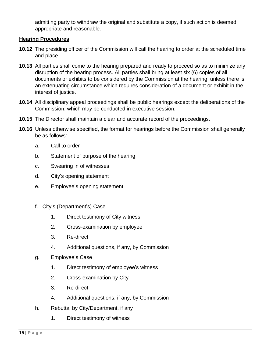admitting party to withdraw the original and substitute a copy, if such action is deemed appropriate and reasonable.

#### **Hearing Procedures**

- **10.12** The presiding officer of the Commission will call the hearing to order at the scheduled time and place.
- **10.13** All parties shall come to the hearing prepared and ready to proceed so as to minimize any disruption of the hearing process. All parties shall bring at least six (6) copies of all documents or exhibits to be considered by the Commission at the hearing, unless there is an extenuating circumstance which requires consideration of a document or exhibit in the interest of justice.
- **10.14** All disciplinary appeal proceedings shall be public hearings except the deliberations of the Commission, which may be conducted in executive session.
- **10.15** The Director shall maintain a clear and accurate record of the proceedings.
- **10.16** Unless otherwise specified, the format for hearings before the Commission shall generally be as follows:
	- a. Call to order
	- b. Statement of purpose of the hearing
	- c. Swearing in of witnesses
	- d. City's opening statement
	- e. Employee's opening statement
	- f. City's (Department's) Case
		- 1. Direct testimony of City witness
		- 2. Cross-examination by employee
		- 3. Re-direct
		- 4. Additional questions, if any, by Commission
	- g. Employee's Case
		- 1. Direct testimony of employee's witness
		- 2. Cross-examination by City
		- 3. Re-direct
		- 4. Additional questions, if any, by Commission
	- h. Rebuttal by City/Department, if any
		- 1. Direct testimony of witness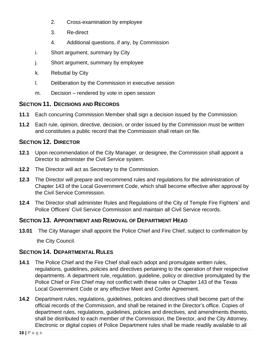- 2. Cross-examination by employee
- 3. Re-direct
- 4. Additional questions, if any, by Commission
- i. Short argument, summary by City
- j. Short argument, summary by employee
- k. Rebuttal by City
- l. Deliberation by the Commission in executive session
- m. Decision rendered by vote in open session

## **SECTION 11. DECISIONS AND RECORDS**

- **11.1** Each concurring Commission Member shall sign a decision issued by the Commission.
- **11.2** Each rule, opinion, directive, decision, or order issued by the Commission must be written and constitutes a public record that the Commission shall retain on file.

## **SECTION 12. DIRECTOR**

- **12.1** Upon recommendation of the City Manager, or designee, the Commission shall appoint a Director to administer the Civil Service system.
- **12.2** The Director will act as Secretary to the Commission.
- **12.3** The Director will prepare and recommend rules and regulations for the administration of Chapter 143 of the Local Government Code, which shall become effective after approval by the Civil Service Commission.
- **12.4** The Director shall administer Rules and Regulations of the City of Temple Fire Fighters' and Police Officers' Civil Service Commission and maintain all Civil Service records.

### **SECTION 13. APPOINTMENT AND REMOVAL OF DEPARTMENT HEAD**

**13.01** The City Manager shall appoint the Police Chief and Fire Chief, subject to confirmation by

the City Council.

## **SECTION 14. DEPARTMENTAL RULES**

- **14.1** The Police Chief and the Fire Chief shall each adopt and promulgate written rules, regulations, guidelines, policies and directives pertaining to the operation of their respective departments. A department rule, regulation, guideline, policy or directive promulgated by the Police Chief or Fire Chief may not conflict with these rules or Chapter 143 of the Texas Local Government Code or any effective Meet and Confer Agreement.
- **14.2** Department rules, regulations, guidelines, policies and directives shall become part of the official records of the Commission, and shall be retained in the Director's office. Copies of department rules, regulations, guidelines, policies and directives, and amendments thereto, shall be distributed to each member of the Commission, the Director, and the City Attorney. Electronic or digital copies of Police Department rules shall be made readily available to all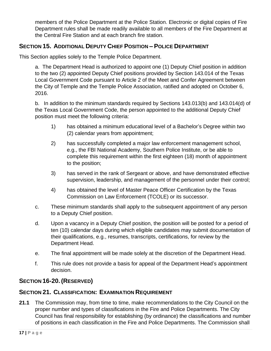members of the Police Department at the Police Station. Electronic or digital copies of Fire Department rules shall be made readily available to all members of the Fire Department at the Central Fire Station and at each branch fire station.

## **SECTION 15. ADDITIONAL DEPUTY CHIEF POSITION – POLICE DEPARTMENT**

This Section applies solely to the Temple Police Department.

a. The Department Head is authorized to appoint one (1) Deputy Chief position in addition to the two (2) appointed Deputy Chief positions provided by Section 143.014 of the Texas Local Government Code pursuant to Article 2 of the Meet and Confer Agreement between the City of Temple and the Temple Police Association, ratified and adopted on October 6, 2016.

b. In addition to the minimum standards required by Sections 143.013(b) and 143.014(d) of the Texas Local Government Code, the person appointed to the additional Deputy Chief position must meet the following criteria:

- 1) has obtained a minimum educational level of a Bachelor's Degree within two (2) calendar years from appointment;
- 2) has successfully completed a major law enforcement management school, e.g., the FBI National Academy, Southern Police Institute, or be able to complete this requirement within the first eighteen (18) month of appointment to the position;
- 3) has served in the rank of Sergeant or above, and have demonstrated effective supervision, leadership, and management of the personnel under their control;
- 4) has obtained the level of Master Peace Officer Certification by the Texas Commission on Law Enforcement (TCOLE) or its successor.
- c. These minimum standards shall apply to the subsequent appointment of any person to a Deputy Chief position.
- d. Upon a vacancy in a Deputy Chief position, the position will be posted for a period of ten (10) calendar days during which eligible candidates may submit documentation of their qualifications, e.g., resumes, transcripts, certifications, for review by the Department Head.
- e. The final appointment will be made solely at the discretion of the Department Head.
- f. This rule does not provide a basis for appeal of the Department Head's appointment decision.

## **SECTION 16-20. (RESERVED)**

#### **SECTION 21. CLASSIFICATION: EXAMINATION REQUIREMENT**

**21.1** The Commission may, from time to time, make recommendations to the City Council on the proper number and types of classifications in the Fire and Police Departments. The City Council has final responsibility for establishing (by ordinance) the classifications and number of positions in each classification in the Fire and Police Departments. The Commission shall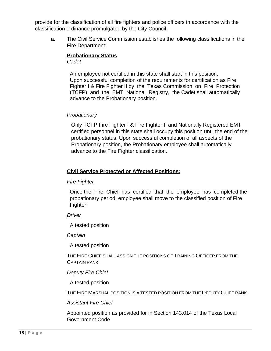provide for the classification of all fire fighters and police officers in accordance with the classification ordinance promulgated by the City Council.

**a.** The Civil Service Commission establishes the following classifications in the Fire Department:

#### **Probationary Status** *Cadet*

An employee not certified in this state shall start in this position. Upon successful completion of the requirements for certification as Fire Fighter I & Fire Fighter II by the Texas Commission on Fire Protection (TCFP) and the EMT National Registry, the Cadet shall automatically advance to the Probationary position.

#### *Probationary*

Only TCFP Fire Fighter I & Fire Fighter II and Nationally Registered EMT certified personnel in this state shall occupy this position until the end of the probationary status. Upon successful completion of all aspects of the Probationary position, the Probationary employee shall automatically advance to the Fire Fighter classification.

#### **Civil Service Protected or Affected Positions:**

#### *Fire Fighter*

Once the Fire Chief has certified that the employee has completed the probationary period, employee shall move to the classified position of Fire Fighter.

#### *Driver*

A tested position

#### *Captain*

A tested position

THE FIRE CHIEF SHALL ASSIGN THE POSITIONS OF TRAINING OFFICER FROM THE CAPTAIN RANK.

#### *Deputy Fire Chief*

A tested position

THE FIRE MARSHAL POSITION IS A TESTED POSITION FROM THE DEPUTY CHIEF RANK.

#### *Assistant Fire Chief*

Appointed position as provided for in Section 143.014 of the Texas Local Government Code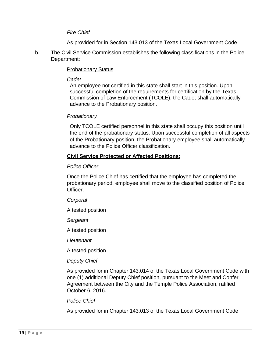#### *Fire Chief*

As provided for in Section 143.013 of the Texas Local Government Code

b. The Civil Service Commission establishes the following classifications in the Police Department:

#### Probationary Status

#### *Cadet*

An employee not certified in this state shall start in this position. Upon successful completion of the requirements for certification by the Texas Commission of Law Enforcement (TCOLE), the Cadet shall automatically advance to the Probationary position.

#### *Probationary*

Only TCOLE certified personnel in this state shall occupy this position until the end of the probationary status. Upon successful completion of all aspects of the Probationary position, the Probationary employee shall automatically advance to the Police Officer classification.

#### **Civil Service Protected or Affected Positions:**

#### *Police Officer*

Once the Police Chief has certified that the employee has completed the probationary period, employee shall move to the classified position of Police Officer.

#### *Corporal*

A tested position

*Sergeant*

A tested position

*Lieutenant*

A tested position

#### *Deputy Chief*

As provided for in Chapter 143.014 of the Texas Local Government Code with one (1) additional Deputy Chief position, pursuant to the Meet and Confer Agreement between the City and the Temple Police Association, ratified October 6, 2016.

#### *Police Chief*

As provided for in Chapter 143.013 of the Texas Local Government Code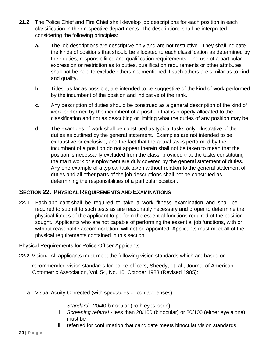- **21.2** The Police Chief and Fire Chief shall develop job descriptions for each position in each classification in their respective departments. The descriptions shall be interpreted considering the following principles:
	- **a.** The job descriptions are descriptive only and are not restrictive. They shall indicate the kinds of positions that should be allocated to each classification as determined by their duties, responsibilities and qualification requirements. The use of a particular expression or restriction as to duties, qualification requirements or other attributes shall not be held to exclude others not mentioned if such others are similar as to kind and quality.
	- **b.** Titles, as far as possible, are intended to be suggestive of the kind of work performed by the incumbent of the position and indicative of the rank.
	- **c.** Any description of duties should be construed as a general description of the kind of work performed by the incumbent of a position that is properly allocated to the classification and not as describing or limiting what the duties of any position may be.
	- **d.** The examples of work shall be construed as typical tasks only, illustrative of the duties as outlined by the general statement. Examples are not intended to be exhaustive or exclusive, and the fact that the actual tasks performed by the incumbent of a position do not appear therein shall not be taken to mean that the position is necessarily excluded from the class, provided that the tasks constituting the main work or employment are duly covered by the general statement of duties. Any one example of a typical task taken without relation to the general statement of duties and all other parts of the job descriptions shall not be construed as determining the responsibilities of a particular position.

#### **SECTION 22. PHYSICAL REQUIREMENTS AND EXAMINATIONS**

**22.1** Each applicant shall be required to take a work fitness examination and shall be required to submit to such tests as are reasonably necessary and proper to determine the physical fitness of the applicant to perform the essential functions required of the position sought. Applicants who are not capable of performing the essential job functions, with or without reasonable accommodation, will not be appointed. Applicants must meet all of the physical requirements contained in this section.

#### Physical Requirements for Police Officer Applicants.

**22.2** Vision**.** All applicants must meet the following vision standards which are based on

recommended vision standards for police officers, Sheedy, et. al., Journal of American Optometric Association, Vol. 54, No. 10, October 1983 (Revised 1985):

- a. Visual Acuity Corrected (with spectacles or contact lenses)
	- i. *Standard*  20/40 binocular (both eyes open)
	- ii. *Screening referral*  less than 20/100 (binocular) or 20/100 (either eye alone) must be
	- iii. referred for confirmation that candidate meets binocular vision standards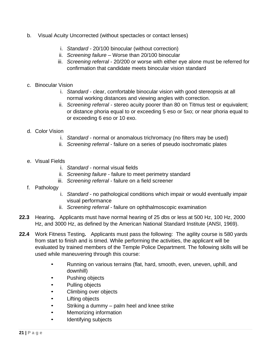- b. Visual Acuity Uncorrected (without spectacles or contact lenses)
	- i. *Standard*  20/100 binocular (without correction)
	- ii. *Screening failure*  Worse than 20/100 binocular
	- iii. *Screening referral*  20/200 or worse with either eye alone must be referred for confirmation that candidate meets binocular vision standard
- c. Binocular Vision
	- i. *Standard*  clear, comfortable binocular vision with good stereopsis at all normal working distances and viewing angles with correction.
	- ii. *Screening referral*  stereo acuity poorer than 80 on Titmus test or equivalent; or distance phoria equal to or exceeding 5 eso or 5xo; or near phoria equal to or exceeding 6 eso or 10 exo.
- d. Color Vision
	- i. *Standard*  normal or anomalous trichromacy (no filters may be used)
	- ii. *Screening referral*  failure on a series of pseudo isochromatic plates
- e. Visual Fields
	- i. *Standard*  normal visual fields
	- ii. *Screening failure*  failure to meet perimetry standard
	- iii. *Screening referral*  failure on a field screener
- f. Pathology
	- i. *Standard*  no pathological conditions which impair or would eventually impair visual performance
	- ii. *Screening referral*  failure on ophthalmoscopic examination
- **22.3** Hearing**.** Applicants must have normal hearing of 25 dbs or less at 500 Hz, 100 Hz, 2000 Hz, and 3000 Hz, as defined by the American National Standard Institute (ANSI, 1969).
- **22.4** Work Fitness Testing**.** Applicants must pass the following: The agility course is 580 yards from start to finish and is timed. While performing the activities, the applicant will be evaluated by trained members of the Temple Police Department. The following skills will be used while maneuvering through this course:
	- Running on various terrains (flat, hard, smooth, even, uneven, uphill, and downhill)
	- Pushing objects
	- Pulling objects
	- Climbing over objects
	- Lifting objects
	- Striking a dummy palm heel and knee strike
	- Memorizing information
	- Identifying subjects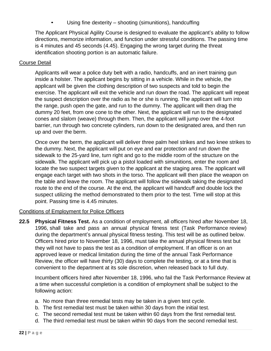Using fine dexterity – shooting (simunitions), handcuffing

The Applicant Physical Agility Course is designed to evaluate the applicant's ability to follow directions, memorize information, and function under stressful conditions. The passing time is 4 minutes and 45 seconds (4.45). Engaging the wrong target during the threat identification shooting portion is an automatic failure.

#### Course Detail

Applicants will wear a police duty belt with a radio, handcuffs, and an inert training gun inside a holster. The applicant begins by sitting in a vehicle. While in the vehicle, the applicant will be given the clothing description of two suspects and told to begin the exercise. The applicant will exit the vehicle and run down the road. The applicant will repeat the suspect description over the radio as he or she is running. The applicant will turn into the range, push open the gate, and run to the dummy. The applicant will then drag the dummy 20 feet, from one cone to the other. Next, the applicant will run to the designated cones and slalom (weave) through them. Then, the applicant will jump over the 4-foot barrier, run through two concrete cylinders, run down to the designated area, and then run up and over the berm.

Once over the berm, the applicant will deliver three palm heel strikes and two knee strikes to the dummy. Next, the applicant will put on eye and ear protection and run down the sidewalk to the 25-yard line, turn right and go to the middle room of the structure on the sidewalk. The applicant will pick up a pistol loaded with simunitions, enter the room and locate the two suspect targets given to the applicant at the staging area. The applicant will engage each target with two shots in the torso. The applicant will then place the weapon on the table and leave the room. The applicant will follow the sidewalk taking the designated route to the end of the course. At the end, the applicant will handcuff and double lock the suspect utilizing the method demonstrated to them prior to the test. Time will stop at this point. Passing time is 4.45 minutes.

#### Conditions of Employment for Police Officers

**22.5 Physical Fitness Test.** As a condition of employment, all officers hired after November 18, 1996, shall take and pass an annual physical fitness test (Task Performance review) during the department's annual physical fitness testing. This test will be as outlined below. Officers hired prior to November 18, 1996, must take the annual physical fitness test but they will not have to pass the test as a condition of employment. If an officer is on an approved leave or medical limitation during the time of the annual Task Performance Review, the officer will have thirty (30) days to complete the testing, or at a time that is convenient to the department at its sole discretion, when released back to full duty.

Incumbent officers hired after November 18, 1996, who fail the Task Performance Review at a time when successful completion is a condition of employment shall be subject to the following action:

- a. No more than three remedial tests may be taken in a given test cycle.
- b. The first remedial test must be taken within 30 days from the initial test.
- c. The second remedial test must be taken within 60 days from the first remedial test.
- d. The third remedial test must be taken within 90 days from the second remedial test.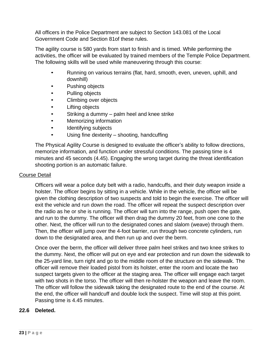All officers in the Police Department are subject to Section 143.081 of the Local Government Code and Section 81of these rules.

The agility course is 580 yards from start to finish and is timed. While performing the activities, the officer will be evaluated by trained members of the Temple Police Department. The following skills will be used while maneuvering through this course:

- Running on various terrains (flat, hard, smooth, even, uneven, uphill, and downhill)
- Pushing objects
- Pulling objects
- Climbing over objects
- Lifting objects
- Striking a dummy palm heel and knee strike
- Memorizing information
- Identifying subjects
- Using fine dexterity shooting, handcuffing

The Physical Agility Course is designed to evaluate the officer's ability to follow directions, memorize information, and function under stressful conditions. The passing time is 4 minutes and 45 seconds (4.45). Engaging the wrong target during the threat identification shooting portion is an automatic failure.

#### Course Detail

Officers will wear a police duty belt with a radio, handcuffs, and their duty weapon inside a holster. The officer begins by sitting in a vehicle. While in the vehicle, the officer will be given the clothing description of two suspects and told to begin the exercise. The officer will exit the vehicle and run down the road. The officer will repeat the suspect description over the radio as he or she is running. The officer will turn into the range, push open the gate, and run to the dummy. The officer will then drag the dummy 20 feet, from one cone to the other. Next, the officer will run to the designated cones and slalom (weave) through them. Then, the officer will jump over the 4-foot barrier, run through two concrete cylinders, run down to the designated area, and then run up and over the berm.

Once over the berm, the officer will deliver three palm heel strikes and two knee strikes to the dummy. Next, the officer will put on eye and ear protection and run down the sidewalk to the 25-yard line, turn right and go to the middle room of the structure on the sidewalk. The officer will remove their loaded pistol from its holster, enter the room and locate the two suspect targets given to the officer at the staging area. The officer will engage each target with two shots in the torso. The officer will then re-holster the weapon and leave the room. The officer will follow the sidewalk taking the designated route to the end of the course. At the end, the officer will handcuff and double lock the suspect. Time will stop at this point. Passing time is 4.45 minutes.

#### **22.6 Deleted.**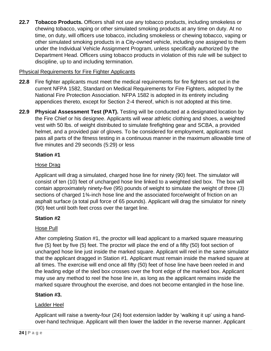**22.7 Tobacco Products.** Officers shall not use any tobacco products, including smokeless or chewing tobacco, vaping or other simulated smoking products at any time on duty. At no time, on duty, will officers use tobacco, including smokeless or chewing tobacco, vaping or other simulated smoking products in a City-owned vehicle, including one assigned to them under the Individual Vehicle Assignment Program, unless specifically authorized by the Department Head. Officers using tobacco products in violation of this rule will be subject to discipline, up to and including termination.

#### Physical Requirements for Fire Fighter Applicants

- **22.8** Fire fighter applicants must meet the medical requirements for fire fighters set out in the current NFPA 1582, Standard on Medical Requirements for Fire Fighters, adopted by the National Fire Protection Association. NFPA 1582 is adopted in its entirety including appendices thereto, except for Section 2-4 thereof, which is not adopted at this time.
- **22.9 Physical Assessment Test (PAT).** Testing will be conducted at a designated location by the Fire Chief or his designee. Applicants will wear athletic clothing and shoes, a weighted vest with 50 lbs. of weight distributed to simulate firefighting gear and SCBA, a provided helmet, and a provided pair of gloves. To be considered for employment, applicants must pass all parts of the fitness testing in a continuous manner in the maximum allowable time of five minutes and 29 seconds (5:29) or less

#### **Station #1**

#### Hose Drag

Applicant will drag a simulated, charged hose line for ninety (90) feet. The simulator will consist of ten (10) feet of uncharged hose line linked to a weighted sled box. The box will contain approximately ninety-five (95) pounds of weight to simulate the weight of three (3) sections of charged 1<sup>3</sup>/<sub>4</sub>-inch hose line and the associated force/weight of friction on an asphalt surface (a total pull force of 65 pounds). Applicant will drag the simulator for ninety (90) feet until both feet cross over the target line.

#### **Station #2**

#### Hose Pull

After completing Station #1, the proctor will lead applicant to a marked square measuring five (5) feet by five (5) feet. The proctor will place the end of a fifty (50) foot section of uncharged hose line just inside the marked square. Applicant will reel in the same simulator that the applicant dragged in Station #1. Applicant must remain inside the marked square at all times. The exercise will end once all fifty (50) feet of hose line have been reeled in and the leading edge of the sled box crosses over the front edge of the marked box. Applicant may use any method to reel the hose line in, as long as the applicant remains inside the marked square throughout the exercise, and does not become entangled in the hose line.

#### **Station #3.**

#### Ladder Heel

Applicant will raise a twenty-four (24) foot extension ladder by 'walking it up' using a handover-hand technique. Applicant will then lower the ladder in the reverse manner. Applicant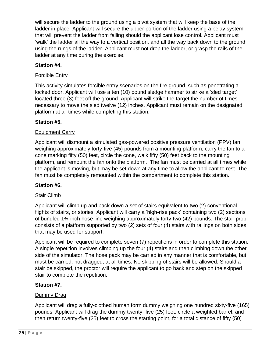will secure the ladder to the ground using a pivot system that will keep the base of the ladder in place. Applicant will secure the upper portion of the ladder using a belay system that will prevent the ladder from falling should the applicant lose control. Applicant must 'walk' the ladder all the way to a vertical position, and all the way back down to the ground using the rungs of the ladder. Applicant must not drop the ladder, or grasp the rails of the ladder at any time during the exercise.

#### **Station #4.**

#### Forcible Entry

This activity simulates forcible entry scenarios on the fire ground, such as penetrating a locked door. Applicant will use a ten (10) pound sledge hammer to strike a 'sled target' located three (3) feet off the ground. Applicant will strike the target the number of times necessary to move the sled twelve (12) inches. Applicant must remain on the designated platform at all times while completing this station.

#### **Station #5.**

#### Equipment Carry

Applicant will dismount a simulated gas-powered positive pressure ventilation (PPV) fan weighing approximately forty-five (45) pounds from a mounting platform, carry the fan to a cone marking fifty (50) feet, circle the cone, walk fifty (50) feet back to the mounting platform, and remount the fan onto the platform. The fan must be carried at all times while the applicant is moving, but may be set down at any time to allow the applicant to rest. The fan must be completely remounted within the compartment to complete this station.

#### **Station #6.**

#### **Stair Climb**

Applicant will climb up and back down a set of stairs equivalent to two (2) conventional flights of stairs, or stories. Applicant will carry a 'high-rise pack' containing two (2) sections of bundled 1¾-inch hose line weighing approximately forty-two (42) pounds. The stair prop consists of a platform supported by two (2) sets of four (4) stairs with railings on both sides that may be used for support.

Applicant will be required to complete seven (7) repetitions in order to complete this station. A single repetition involves climbing up the four (4) stairs and then climbing down the other side of the simulator. The hose pack may be carried in any manner that is comfortable, but must be carried, not dragged, at all times. No skipping of stairs will be allowed. Should a stair be skipped, the proctor will require the applicant to go back and step on the skipped stair to complete the repetition.

#### **Station #7.**

#### Dummy Drag

Applicant will drag a fully-clothed human form dummy weighing one hundred sixty-five (165) pounds. Applicant will drag the dummy twenty- five (25) feet, circle a weighted barrel, and then return twenty-five (25) feet to cross the starting point, for a total distance of fifty (50)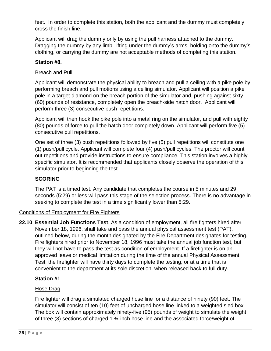feet. In order to complete this station, both the applicant and the dummy must completely cross the finish line.

Applicant will drag the dummy only by using the pull harness attached to the dummy. Dragging the dummy by any limb, lifting under the dummy's arms, holding onto the dummy's clothing, or carrying the dummy are not acceptable methods of completing this station.

#### **Station #8.**

#### Breach and Pull

Applicant will demonstrate the physical ability to breach and pull a ceiling with a pike pole by performing breach and pull motions using a ceiling simulator. Applicant will position a pike pole in a target diamond on the breach portion of the simulator and, pushing against sixty (60) pounds of resistance, completely open the breach-side hatch door. Applicant will perform three (3) consecutive push repetitions.

Applicant will then hook the pike pole into a metal ring on the simulator, and pull with eighty (80) pounds of force to pull the hatch door completely down. Applicant will perform five (5) consecutive pull repetitions.

One set of three (3) push repetitions followed by five (5) pull repetitions will constitute one (1) push/pull cycle. Applicant will complete four (4) push/pull cycles. The proctor will count out repetitions and provide instructions to ensure compliance. This station involves a highly specific simulator. It is recommended that applicants closely observe the operation of this simulator prior to beginning the test.

#### **SCORING**

The PAT is a timed test. Any candidate that completes the course in 5 minutes and 29 seconds (5:29) or less will pass this stage of the selection process. There is no advantage in seeking to complete the test in a time significantly lower than 5:29.

#### Conditions of Employment for Fire Fighters

**22.10 Essential Job Functions Test**. As a condition of employment, all fire fighters hired after November 18, 1996, shall take and pass the annual physical assessment test (PAT), outlined below, during the month designated by the Fire Department designates for testing. Fire fighters hired prior to November 18, 1996 must take the annual job function test, but they will not have to pass the test as condition of employment. If a firefighter is on an approved leave or medical limitation during the time of the annual Physical Assessment Test, the firefighter will have thirty days to complete the testing, or at a time that is convenient to the department at its sole discretion, when released back to full duty.

#### **Station #1**

#### Hose Drag

Fire fighter will drag a simulated charged hose line for a distance of ninety (90) feet. The simulator will consist of ten (10) feet of uncharged hose line linked to a weighted sled box. The box will contain approximately ninety-five (95) pounds of weight to simulate the weight of three (3) sections of charged 1 ¾-inch hose line and the associated force/weight of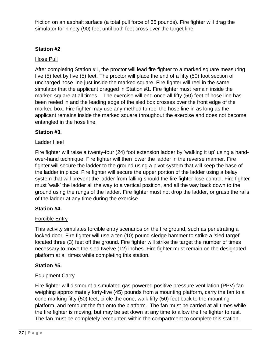friction on an asphalt surface (a total pull force of 65 pounds). Fire fighter will drag the simulator for ninety (90) feet until both feet cross over the target line.

#### **Station #2**

#### Hose Pull

After completing Station #1, the proctor will lead fire fighter to a marked square measuring five (5) feet by five (5) feet. The proctor will place the end of a fifty (50) foot section of uncharged hose line just inside the marked square. Fire fighter will reel in the same simulator that the applicant dragged in Station #1. Fire fighter must remain inside the marked square at all times. The exercise will end once all fifty (50) feet of hose line has been reeled in and the leading edge of the sled box crosses over the front edge of the marked box. Fire fighter may use any method to reel the hose line in as long as the applicant remains inside the marked square throughout the exercise and does not become entangled in the hose line.

#### **Station #3.**

#### Ladder Heel

Fire fighter will raise a twenty-four (24) foot extension ladder by 'walking it up' using a handover-hand technique. Fire fighter will then lower the ladder in the reverse manner. Fire fighter will secure the ladder to the ground using a pivot system that will keep the base of the ladder in place. Fire fighter will secure the upper portion of the ladder using a belay system that will prevent the ladder from falling should the fire fighter lose control. Fire fighter must 'walk' the ladder all the way to a vertical position, and all the way back down to the ground using the rungs of the ladder. Fire fighter must not drop the ladder, or grasp the rails of the ladder at any time during the exercise.

#### **Station #4.**

#### Forcible Entry

This activity simulates forcible entry scenarios on the fire ground, such as penetrating a locked door. Fire fighter will use a ten (10) pound sledge hammer to strike a 'sled target' located three (3) feet off the ground. Fire fighter will strike the target the number of times necessary to move the sled twelve (12) inches. Fire fighter must remain on the designated platform at all times while completing this station.

#### **Station #5.**

#### Equipment Carry

Fire fighter will dismount a simulated gas-powered positive pressure ventilation (PPV) fan weighing approximately forty-five (45) pounds from a mounting platform, carry the fan to a cone marking fifty (50) feet, circle the cone, walk fifty (50) feet back to the mounting platform, and remount the fan onto the platform. The fan must be carried at all times while the fire fighter is moving, but may be set down at any time to allow the fire fighter to rest. The fan must be completely remounted within the compartment to complete this station.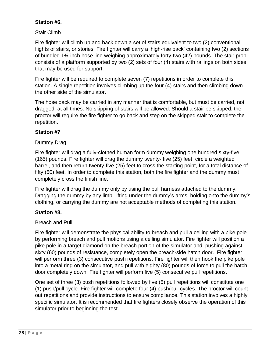#### **Station #6.**

#### Stair Climb

Fire fighter will climb up and back down a set of stairs equivalent to two (2) conventional flights of stairs, or stories. Fire fighter will carry a 'high-rise pack' containing two (2) sections of bundled 1¾-inch hose line weighing approximately forty-two (42) pounds. The stair prop consists of a platform supported by two (2) sets of four (4) stairs with railings on both sides that may be used for support.

Fire fighter will be required to complete seven (7) repetitions in order to complete this station. A single repetition involves climbing up the four (4) stairs and then climbing down the other side of the simulator.

The hose pack may be carried in any manner that is comfortable, but must be carried, not dragged, at all times. No skipping of stairs will be allowed. Should a stair be skipped, the proctor will require the fire fighter to go back and step on the skipped stair to complete the repetition.

#### **Station #7**

#### Dummy Drag

Fire fighter will drag a fully-clothed human form dummy weighing one hundred sixty-five (165) pounds. Fire fighter will drag the dummy twenty- five (25) feet, circle a weighted barrel, and then return twenty-five (25) feet to cross the starting point, for a total distance of fifty (50) feet. In order to complete this station, both the fire fighter and the dummy must completely cross the finish line.

Fire fighter will drag the dummy only by using the pull harness attached to the dummy. Dragging the dummy by any limb, lifting under the dummy's arms, holding onto the dummy's clothing, or carrying the dummy are not acceptable methods of completing this station.

#### **Station #8.**

#### Breach and Pull

Fire fighter will demonstrate the physical ability to breach and pull a ceiling with a pike pole by performing breach and pull motions using a ceiling simulator. Fire fighter will position a pike pole in a target diamond on the breach portion of the simulator and, pushing against sixty (60) pounds of resistance, completely open the breach-side hatch door. Fire fighter will perform three (3) consecutive push repetitions. Fire fighter will then hook the pike pole into a metal ring on the simulator, and pull with eighty (80) pounds of force to pull the hatch door completely down. Fire fighter will perform five (5) consecutive pull repetitions.

One set of three (3) push repetitions followed by five (5) pull repetitions will constitute one (1) push/pull cycle. Fire fighter will complete four (4) push/pull cycles. The proctor will count out repetitions and provide instructions to ensure compliance. This station involves a highly specific simulator. It is recommended that fire fighters closely observe the operation of this simulator prior to beginning the test.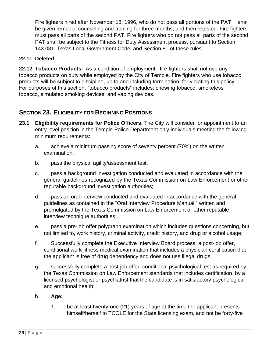Fire fighters hired after November 18, 1996, who do not pass all portions of the PAT shall be given remedial counseling and training for three months, and then retested. Fire fighters must pass all parts of the second PAT. Fire fighters who do not pass all parts of the second PAT shall be subject to the Fitness for Duty Assessment process, pursuant to Section 143.081, Texas Local Government Code, and Section 81 of these rules.

#### <span id="page-29-0"></span>**22.11 Deleted**

**22.12 Tobacco Products.** As a condition of employment, fire fighters shall not use any tobacco products on duty while employed by the City of Temple. Fire fighters who use tobacco products will be subject to discipline, up to and including termination, for violating this policy. For purposes of this section, "tobacco products" includes: chewing tobacco, smokeless tobacco, simulated smoking devices, and vaping devices.

#### **SECTION 23. ELIGIBILITY FOR BEGINNING POSITIONS**

- **23.1 Eligibility requirements for Police Officers**. The City will consider for appointment to an entry level position in the Temple Police Department only individuals meeting the following minimum requirements:
	- a. achieve a minimum passing score of seventy percent (70%) on the written examination;
	- b. pass the physical agility/assessment test;
	- c. pass a background investigation conducted and evaluated in accordance with the general guidelines recognized by the Texas Commission on Law Enforcement or other reputable background investigation authorities;
	- d. pass an oral interview conducted and evaluated in accordance with the general guidelines as contained in the "Oral Interview Procedure Manual," written and promulgated by the Texas Commission on Law Enforcement or other reputable interview technique authorities;
	- e. pass a pre-job offer polygraph examination which includes questions concerning, but not limited to, work history, criminal activity, credit history, and drug or alcohol usage;
	- f. Successfully complete the Executive Interview Board process, a post-job offer, conditional work fitness medical examination that includes a physician certification that the applicant is free of drug dependency and does not use illegal drugs;
	- g. successfully complete a post-job offer, conditional psychological test as required by the Texas Commission on Law Enforcement standards that includes certification by a licensed psychologist or psychiatrist that the candidate is in satisfactory psychological and emotional health;
	- h. **Age:**
		- 1. be at least twenty-one (21) years of age at the time the applicant presents himself/herself to TCOLE for the State licensing exam, and not be forty-five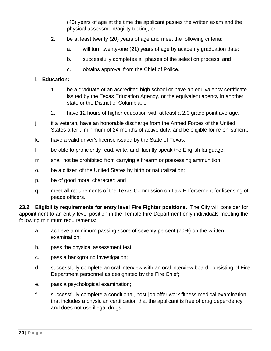(45) years of age at the time the applicant passes the written exam and the physical assessment/agility testing, or

- **2**. be at least twenty (20) years of age and meet the following criteria:
	- a. will turn twenty-one (21) years of age by academy graduation date;
	- b. successfully completes all phases of the selection process, and
	- c. obtains approval from the Chief of Police.

#### i. **Education:**

- 1. be a graduate of an accredited high school or have an equivalency certificate issued by the Texas Education Agency, or the equivalent agency in another state or the District of Columbia, or
- 2. have 12 hours of higher education with at least a 2.0 grade point average.
- j. if a veteran, have an honorable discharge from the Armed Forces of the United States after a minimum of 24 months of active duty, and be eligible for re-enlistment;
- k. have a valid driver's license issued by the State of Texas;
- l. be able to proficiently read, write, and fluently speak the English language;
- m. shall not be prohibited from carrying a firearm or possessing ammunition;
- o. be a citizen of the United States by birth or naturalization;
- p. be of good moral character; and
- q. meet all requirements of the Texas Commission on Law Enforcement for licensing of peace officers.

**23.2 Eligibility requirements for entry level Fire Fighter positions.** The City will consider for appointment to an entry-level position in the Temple Fire Department only individuals meeting the following minimum requirements:

- a. achieve a minimum passing score of seventy percent (70%) on the written examination;
- b. pass the physical assessment test;
- c. pass a background investigation;
- d. successfully complete an oral interview with an oral interview board consisting of Fire Department personnel as designated by the Fire Chief;
- e. pass a psychological examination;
- f. successfully complete a conditional, post-job offer work fitness medical examination that includes a physician certification that the applicant is free of drug dependency and does not use illegal drugs;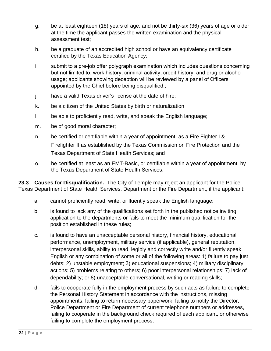- g. be at least eighteen (18) years of age, and not be thirty-six (36) years of age or older at the time the applicant passes the written examination and the physical assessment test;
- h. be a graduate of an accredited high school or have an equivalency certificate certified by the Texas Education Agency;
- i. submit to a pre-job offer polygraph examination which includes questions concerning but not limited to, work history, criminal activity, credit history, and drug or alcohol usage; applicants showing deception will be reviewed by a panel of Officers appointed by the Chief before being disqualified.;
- j. have a valid Texas driver's license at the date of hire;
- k. be a citizen of the United States by birth or naturalization
- l. be able to proficiently read, write, and speak the English language;
- m. be of good moral character;
- n. be certified or certifiable within a year of appointment, as a Fire Fighter I & Firefighter II as established by the Texas Commission on Fire Protection and the Texas Department of State Health Services; and
- o. be certified at least as an EMT-Basic, or certifiable within a year of appointment, by the Texas Department of State Health Services.

**23.3 Causes for Disqualification.** The City of Temple may reject an applicant for the Police Texas Department of State Health Services. Department or the Fire Department, if the applicant:

- a. cannot proficiently read, write, or fluently speak the English language;
- b. is found to lack any of the qualifications set forth in the published notice inviting application to the departments or fails to meet the minimum qualification for the position established in these rules;
- c. is found to have an unacceptable personal history, financial history, educational performance, unemployment, military service (if applicable), general reputation, interpersonal skills, ability to read, legibly and correctly write and/or fluently speak English or any combination of some or all of the following areas: 1) failure to pay just debts; 2) unstable employment; 3) educational suspensions; 4) military disciplinary actions; 5) problems relating to others; 6) poor interpersonal relationships; 7) lack of dependability; or 8) unacceptable conversational, writing or reading skills;
- d. fails to cooperate fully in the employment process by such acts as failure to complete the Personal History Statement in accordance with the instructions, missing appointments, failing to return necessary paperwork, failing to notify the Director, Police Department or Fire Department of current telephone numbers or addresses, failing to cooperate in the background check required of each applicant, or otherwise failing to complete the employment process;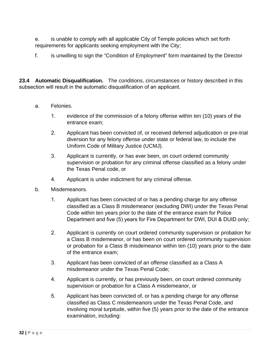e. is unable to comply with all applicable City of Temple policies which set forth requirements for applicants seeking employment with the City;

f. is unwilling to sign the "Condition of Employment" form maintained by the Director

**23.4 Automatic Disqualification.** The conditions, circumstances or history described in this subsection will result in the automatic disqualification of an applicant.

- a. Felonies.
	- 1. evidence of the commission of a felony offense within ten (10) years of the entrance exam;
	- 2. Applicant has been convicted of, or received deferred adjudication or pre-trial diversion for any felony offense under state or federal law, to include the Uniform Code of Military Justice (UCMJ).
	- 3. Applicant is currently, or has ever been, on court ordered community supervision or probation for any criminal offense classified as a felony under the Texas Penal code, or
	- 4. Applicant is under indictment for any criminal offense.
- b. Misdemeanors.
	- 1. Applicant has been convicted of or has a pending charge for any offense classified as a Class B misdemeanor (excluding DWI) under the Texas Penal Code within ten years prior to the date of the entrance exam for Police Department and five (5) years for Fire Department for DWI, DUI & DUID only;
	- 2. Applicant is currently on court ordered community supervision or probation for a Class B misdemeanor, or has been on court ordered community supervision or probation for a Class B misdemeanor within ten (10) years prior to the date of the entrance exam;
	- 3. Applicant has been convicted of an offense classified as a Class A misdemeanor under the Texas Penal Code;
	- 4. Applicant is currently, or has previously been, on court ordered community supervision or probation for a Class A misdemeanor, or
	- 5. Applicant has been convicted of, or has a pending charge for any offense classified as Class C misdemeanors under the Texas Penal Code, and involving moral turpitude, within five (5) years prior to the date of the entrance examination, including: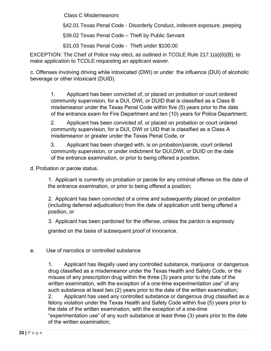Class C Misdemeanors

§42.01 Texas Penal Code - Disorderly Conduct, indecent exposure, peeping

§39.02 Texas Penal Code - Theft by Public Servant

§31.03 Texas Penal Code - Theft under \$100.00

EXCEPTION: The Chief of Police may elect, as outlined in TCOLE Rule 217.1(a)(6)(B), to make application to TCOLE requesting an applicant waiver.

c. Offenses involving driving while intoxicated (DWI) or under the influence (DUI) of alcoholic beverage or other intoxicant (DUID).

1. Applicant has been convicted of, or placed on probation or court ordered community supervision, for a DUI, DWI, or DUID that is classified as a Class B misdemeanor under the Texas Penal Code within five (5) years prior to the date of the entrance exam for Fire Department and ten (10) years for Police Department;

2. Applicant has been convicted of, or placed on probation or court ordered community supervision, for a DUI, DWI or UID that is classified as a Class A misdemeanor or greater under the Texas Penal Code, or

3. Applicant has been charged with, is on probation/parole, court ordered community supervision, or under indictment for DUI,DWI, or DUID on the date of the entrance examination, or prior to being offered a position.

d. Probation or parole status.

1. Applicant is currently on probation or parole for any criminal offense on the date of the entrance examination, or prior to being offered a position;

2. Applicant has been convicted of a crime and subsequently placed on probation (including deferred adjudication) from the date of application until being offered a position, or

3. Applicant has been pardoned for the offense, unless the pardon is expressly

granted on the basis of subsequent proof of innocence.

#### e. Use of narcotics or controlled substance

1. Applicant has illegally used any controlled substance, marijuana or dangerous drug classified as a misdemeanor under the Texas Health and Safety Code, or the misuse of any prescription drug within the three (3) years prior to the date of the written examination, with the exception of a one-time experimentation use" of any such substance at least two (2) years prior to the date of the written examination; 2. Applicant has used any controlled substance or dangerous drug classified as a felony violation under the Texas Health and Safety Code within five (5) years prior to the date of the written examination, with the exception of a one-time "experimentation use" of any such substance at least three (3) years prior to the date of the written examination;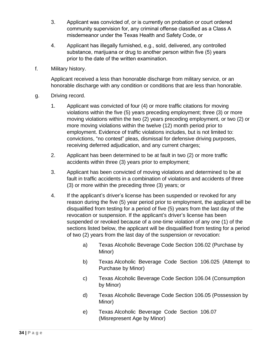- 3. Applicant was convicted of, or is currently on probation or court ordered community supervision for, any criminal offense classified as a Class A misdemeanor under the Texas Health and Safety Code, or
- 4. Applicant has illegally furnished, e.g., sold, delivered, any controlled substance, marijuana or drug to another person within five (5) years prior to the date of the written examination.
- f. Military history.

Applicant received a less than honorable discharge from military service, or an honorable discharge with any condition or conditions that are less than honorable.

- g. Driving record.
	- 1. Applicant was convicted of four (4) or more traffic citations for moving violations within the five (5) years preceding employment; three (3) or more moving violations within the two (2) years preceding employment, or two (2) or more moving violations within the twelve (12) month period prior to employment. Evidence of traffic violations includes, but is not limited to: convictions, "no contest" pleas, dismissal for defensive driving purposes, receiving deferred adjudication, and any current charges;
	- 2. Applicant has been determined to be at fault in two (2) or more traffic accidents within three (3) years prior to employment;
	- 3. Applicant has been convicted of moving violations and determined to be at fault in traffic accidents in a combination of violations and accidents of three (3) or more within the preceding three (3) years; or
	- 4. If the applicant's driver's license has been suspended or revoked for any reason during the five (5) year period prior to employment, the applicant will be disqualified from testing for a period of five (5) years from the last day of the revocation or suspension. If the applicant's driver's license has been suspended or revoked because of a one-time violation of any one (1) of the sections listed below, the applicant will be disqualified from testing for a period of two (2) years from the last day of the suspension or revocation:
		- a) Texas Alcoholic Beverage Code Section 106.02 (Purchase by Minor)
		- b) Texas Alcoholic Beverage Code Section 106.025 (Attempt to Purchase by Minor)
		- c) Texas Alcoholic Beverage Code Section 106.04 (Consumption by Minor)
		- d) Texas Alcoholic Beverage Code Section 106.05 (Possession by Minor)
		- e) Texas Alcoholic Beverage Code Section 106.07 (Misrepresent Age by Minor)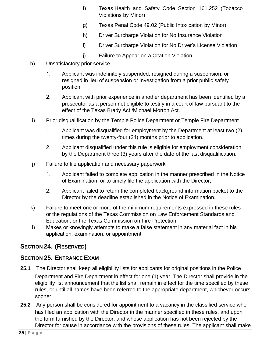- f) Texas Health and Safety Code Section 161.252 (Tobacco Violations by Minor)
- g) Texas Penal Code 49.02 (Public Intoxication by Minor)
- h) Driver Surcharge Violation for No Insurance Violation
- i) Driver Surcharge Violation for No Driver's License Violation
- j) Failure to Appear on a Citation Violation
- h) Unsatisfactory prior service.
	- 1. Applicant was indefinitely suspended, resigned during a suspension, or resigned in lieu of suspension or investigation from a prior public safety position.
	- 2. Applicant with prior experience in another department has been identified by a prosecutor as a person not eligible to testify in a court of law pursuant to the effect of the Texas Brady Act /Michael Morton Act.
- i) Prior disqualification by the Temple Police Department or Temple Fire Department
	- 1. Applicant was disqualified for employment by the Department at least two (2) times during the twenty-four (24) months prior to application.
	- 2. Applicant disqualified under this rule is eligible for employment consideration by the Department three (3) years after the date of the last disqualification.
- j) Failure to file application and necessary paperwork
	- 1. Applicant failed to complete application in the manner prescribed in the Notice of Examination, or to timely file the application with the Director;
	- 2. Applicant failed to return the completed background information packet to the Director by the deadline established in the Notice of Examination.
- k) Failure to meet one or more of the minimum requirements expressed in these rules or the regulations of the Texas Commission on Law Enforcement Standards and Education, or the Texas Commission on Fire Protection.
- l) Makes or knowingly attempts to make a false statement in any material fact in his application, examination, or appointment

## **SECTION 24. (RESERVED)**

### **SECTION 25. ENTRANCE EXAM**

- **25.1** The Director shall keep all eligibility lists for applicants for original positions in the Police Department and Fire Department in effect for one (1) year. The Director shall provide in the eligibility list announcement that the list shall remain in effect for the time specified by these rules, or until all names have been referred to the appropriate department, whichever occurs sooner.
- **25.2** Any person shall be considered for appointment to a vacancy in the classified service who has filed an application with the Director in the manner specified in these rules, and upon the form furnished by the Director, and whose application has not been rejected by the Director for cause in accordance with the provisions of these rules. The applicant shall make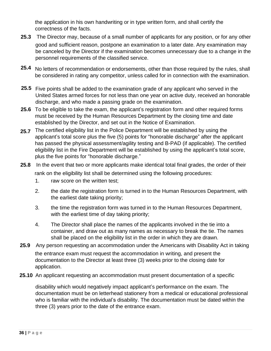the application in his own handwriting or in type written form, and shall certify the correctness of the facts.

- **25.3** The Director may, because of a small number of applicants for any position, or for any other good and sufficient reason, postpone an examination to a later date. Any examination may be canceled by the Director if the examination becomes unnecessary due to a change in the personnel requirements of the classified service.
- **25.4** No letters of recommendation or endorsements, other than those required by the rules, shall be considered in rating any competitor, unless called for in connection with the examination.
- **25.5** Five points shall be added to the examination grade of any applicant who served in the United States armed forces for not less than one year on active duty, received an honorable discharge, and who made a passing grade on the examination.
- **25.6** To be eligible to take the exam, the applicant's registration form and other required forms must be received by the Human Resources Department by the closing time and date established by the Director, and set out in the Notice of Examination.
- **25.7** The certified eligibility list in the Police Department will be established by using the applicant's total score plus the five (5) points for "honorable discharge" after the applicant has passed the physical assessment/agility testing and B-PAD (if applicable). The certified eligibility list in the Fire Department will be established by using the applicant's total score, plus the five points for "honorable discharge."
- **25.8** In the event that two or more applicants make identical total final grades, the order of their rank on the eligibility list shall be determined using the following procedures:
	- 1. raw score on the written test;
	- 2. the date the registration form is turned in to the Human Resources Department, with the earliest date taking priority;
	- 3. the time the registration form was turned in to the Human Resources Department, with the earliest time of day taking priority;
	- 4. The Director shall place the names of the applicants involved in the tie into a container, and draw out as many names as necessary to break the tie. The names shall be placed on the eligibility list in the order in which they are drawn.
- **25.9** Any person requesting an accommodation under the Americans with Disability Act in taking the entrance exam must request the accommodation in writing, and present the documentation to the Director at least three (3) weeks prior to the closing date for application.
- **25.10** An applicant requesting an accommodation must present documentation of a specific

disability which would negatively impact applicant's performance on the exam. The documentation must be on letterhead stationery from a medical or educational professional who is familiar with the individual's disability. The documentation must be dated within the three (3) years prior to the date of the entrance exam.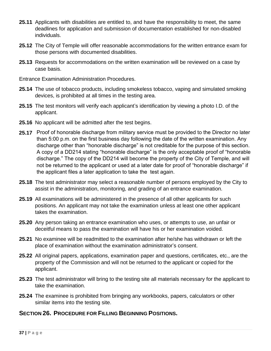- **25.11** Applicants with disabilities are entitled to, and have the responsibility to meet, the same deadlines for application and submission of documentation established for non-disabled individuals.
- **25.12** The City of Temple will offer reasonable accommodations for the written entrance exam for those persons with documented disabilities.
- **25.13** Requests for accommodations on the written examination will be reviewed on a case by case basis.
- Entrance Examination Administration Procedures.
- **25.14** The use of tobacco products, including smokeless tobacco, vaping and simulated smoking devices, is prohibited at all times in the testing area.
- **25.15** The test monitors will verify each applicant's identification by viewing a photo I.D. of the applicant.
- **25.16** No applicant will be admitted after the test begins.
- **25.17** Proof of honorable discharge from military service must be provided to the Director no later than 5:00 p.m. on the first business day following the date of the written examination. Any discharge other than "honorable discharge" is not creditable for the purpose of this section. A copy of a DD214 stating "honorable discharge" is the only acceptable proof of "honorable discharge." The copy of the DD214 will become the property of the City of Temple, and will not be returned to the applicant or used at a later date for proof of "honorable discharge" if the applicant files a later application to take the test again.
- **25.18** The test administrator may select a reasonable number of persons employed by the City to assist in the administration, monitoring, and grading of an entrance examination.
- **25.19** All examinations will be administered in the presence of all other applicants for such positions. An applicant may not take the examination unless at least one other applicant takes the examination.
- **25.20** Any person taking an entrance examination who uses, or attempts to use, an unfair or deceitful means to pass the examination will have his or her examination voided.
- **25.21** No examinee will be readmitted to the examination after he/she has withdrawn or left the place of examination without the examination administrator's consent.
- **25.22** All original papers, applications, examination paper and questions, certificates, etc., are the property of the Commission and will not be returned to the applicant or copied for the applicant.
- **25.23** The test administrator will bring to the testing site all materials necessary for the applicant to take the examination.
- **25.24** The examinee is prohibited from bringing any workbooks, papers, calculators or other similar items into the testing site.

## **SECTION 26. PROCEDURE FOR FILLING BEGINNING POSITIONS.**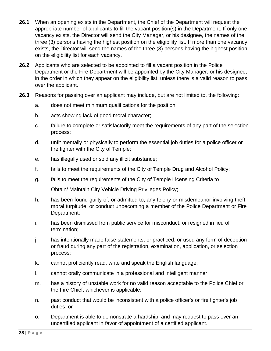- **26.1** When an opening exists in the Department, the Chief of the Department will request the appropriate number of applicants to fill the vacant position(s) in the Department. If only one vacancy exists, the Director will send the City Manager, or his designee, the names of the three (3) persons having the highest position on the eligibility list. If more than one vacancy exists, the Director will send the names of the three (3) persons having the highest position on the eligibility list for each vacancy.
- **26.2** Applicants who are selected to be appointed to fill a vacant position in the Police Department or the Fire Department will be appointed by the City Manager, or his designee, in the order in which they appear on the eligibility list, unless there is a valid reason to pass over the applicant.
- **26.3** Reasons for passing over an applicant may include, but are not limited to, the following:
	- a. does not meet minimum qualifications for the position;
	- b. acts showing lack of good moral character;
	- c. failure to complete or satisfactorily meet the requirements of any part of the selection process;
	- d. unfit mentally or physically to perform the essential job duties for a police officer or fire fighter with the City of Temple;
	- e. has illegally used or sold any illicit substance;
	- f. fails to meet the requirements of the City of Temple Drug and Alcohol Policy;
	- g. fails to meet the requirements of the City of Temple Licensing Criteria to

Obtain/ Maintain City Vehicle Driving Privileges Policy;

- h. has been found guilty of, or admitted to, any felony or misdemeanor involving theft, moral turpitude, or conduct unbecoming a member of the Police Department or Fire Department;
- i. has been dismissed from public service for misconduct, or resigned in lieu of termination;
- j. has intentionally made false statements, or practiced, or used any form of deception or fraud during any part of the registration, examination, application, or selection process;
- k. cannot proficiently read, write and speak the English language;
- l. cannot orally communicate in a professional and intelligent manner;
- m. has a history of unstable work for no valid reason acceptable to the Police Chief or the Fire Chief, whichever is applicable;
- n. past conduct that would be inconsistent with a police officer's or fire fighter's job duties; or
- o. Department is able to demonstrate a hardship, and may request to pass over an uncertified applicant in favor of appointment of a certified applicant.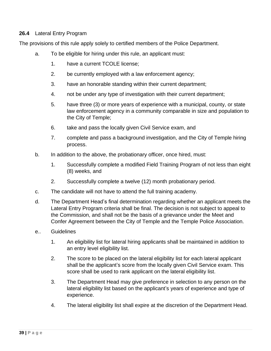### **26.4** Lateral Entry Program

The provisions of this rule apply solely to certified members of the Police Department.

- a. To be eligible for hiring under this rule, an applicant must:
	- 1. have a current TCOLE license;
	- 2. be currently employed with a law enforcement agency;
	- 3. have an honorable standing within their current department;
	- 4. not be under any type of investigation with their current department;
	- 5. have three (3) or more years of experience with a municipal, county, or state law enforcement agency in a community comparable in size and population to the City of Temple;
	- 6. take and pass the locally given Civil Service exam, and
	- 7. complete and pass a background investigation, and the City of Temple hiring process.
- b. In addition to the above, the probationary officer, once hired, must:
	- 1. Successfully complete a modified Field Training Program of not less than eight (8) weeks, and
	- 2. Successfully complete a twelve (12) month probationary period.
- c. The candidate will not have to attend the full training academy.
- d. The Department Head's final determination regarding whether an applicant meets the Lateral Entry Program criteria shall be final. The decision is not subject to appeal to the Commission, and shall not be the basis of a grievance under the Meet and Confer Agreement between the City of Temple and the Temple Police Association.
- e.. Guidelines
	- 1. An eligibility list for lateral hiring applicants shall be maintained in addition to an entry level eligibility list.
	- 2. The score to be placed on the lateral eligibility list for each lateral applicant shall be the applicant's score from the locally given Civil Service exam. This score shall be used to rank applicant on the lateral eligibility list.
	- 3. The Department Head may give preference in selection to any person on the lateral eligibility list based on the applicant's years of experience and type of experience.
	- 4. The lateral eligibility list shall expire at the discretion of the Department Head.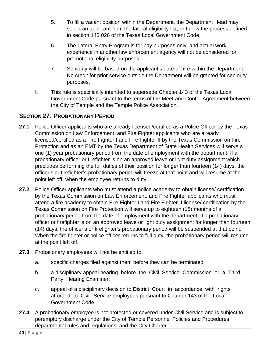- 5. To fill a vacant position within the Department, the Department Head may select an applicant from the lateral eligibility list, or follow the process defined in section 143.026 of the Texas Local Government Code.
- 6. The Lateral Entry Program is for pay purposes only, and actual work experience in another law enforcement agency will not be considered for promotional eligibility purposes.
- 7. Seniority will be based on the applicant's date of hire within the Department. No credit for prior service outside the Department will be granted for seniority purposes.
- f. This rule is specifically intended to supersede Chapter 143 of the Texas Local Government Code pursuant to the terms of the Meet and Confer Agreement between the City of Temple and the Temple Police Association.

# **SECTION 27. PROBATIONARY PERIOD**

- **27.1** Police Officer applicants who are already licensed/certified as a Police Officer by the Texas Commission on Law Enforcement, and Fire Fighter applicants who are already licensed/certified as a Fire Fighter I and Fire Fighter II by the Texas Commission on Fire Protection and as an EMT by the Texas Department of State Health Services will serve a one (1) year probationary period from the date of employment with the department. If a probationary officer or firefighter is on an approved leave or light duty assignment which precludes performing the full duties of their position for longer than fourteen (14) days, the officer's or firefighter's probationary period will freeze at that point and will resume at the point left off, when the employee returns to duty.
- **27.2** Police Officer applicants who must attend a police academy to obtain license/ certification by the Texas Commission on Law Enforcement, and Fire Fighter applicants who must attend a fire academy to obtain Fire Fighter I and Fire Fighter II license/ certification by the Texas Commission on Fire Protection will serve up to eighteen (18) months of a probationary period from the date of employment with the department. If a probationary officer or firefighter is on an approved leave or light duty assignment for longer than fourteen (14) days, the officer's or firefighter's probationary period will be suspended at that point. When the fire fighter or police officer returns to full duty, the probationary period will resume at the point left off.
- **27.3** Probationary employees will not be entitled to:
	- a. specific charges filed against them before they can be terminated;
	- b. a disciplinary appeal hearing before the Civil Service Commission or a Third Party Hearing Examiner;
	- c. appeal of a disciplinary decision to District Court in accordance with rights afforded to Civil Service employees pursuant to Chapter 143 of the Local Government Code.
- **27.4** A probationary employee is not protected or covered under Civil Service and is subject to peremptory discharge under the City of Temple Personnel Policies and Procedures, departmental rules and regulations, and the City Charter.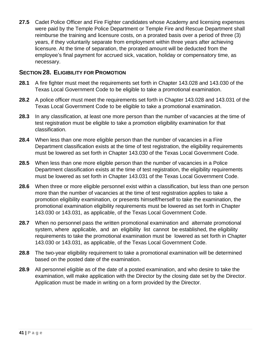**27.5** Cadet Police Officer and Fire Fighter candidates whose Academy and licensing expenses were paid by the Temple Police Department or Temple Fire and Rescue Department shall reimburse the training and licensure costs, on a prorated basis over a period of three (3) years, if they voluntarily separate from employment within three years after achieving licensure. At the time of separation, the prorated amount will be deducted from the employee's final payment for accrued sick, vacation, holiday or compensatory time, as necessary.

## **SECTION 28. ELIGIBILITY FOR PROMOTION**

- **28.1** A fire fighter must meet the requirements set forth in Chapter 143.028 and 143.030 of the Texas Local Government Code to be eligible to take a promotional examination.
- **28.2** A police officer must meet the requirements set forth in Chapter 143.028 and 143.031 of the Texas Local Government Code to be eligible to take a promotional examination.
- **28.3** In any classification, at least one more person than the number of vacancies at the time of test registration must be eligible to take a promotion eligibility examination for that classification.
- **28.4** When less than one more eligible person than the number of vacancies in a Fire Department classification exists at the time of test registration, the eligibility requirements must be lowered as set forth in Chapter 143.030 of the Texas Local Government Code.
- **28.5** When less than one more eligible person than the number of vacancies in a Police Department classification exists at the time of test registration, the eligibility requirements must be lowered as set forth in Chapter 143.031 of the Texas Local Government Code.
- **28.6** When three or more eligible personnel exist within a classification, but less than one person more than the number of vacancies at the time of test registration applies to take a promotion eligibility examination, or presents himself/herself to take the examination, the promotional examination eligibility requirements must be lowered as set forth in Chapter 143.030 or 143.031, as applicable, of the Texas Local Government Code.
- **28.7** When no personnel pass the written promotional examination and alternate promotional system, where applicable, and an eligibility list cannot be established, the eligibility requirements to take the promotional examination must be lowered as set forth in Chapter 143.030 or 143.031, as applicable, of the Texas Local Government Code.
- **28.8** The two-year eligibility requirement to take a promotional examination will be determined based on the posted date of the examination.
- **28.9** All personnel eligible as of the date of a posted examination, and who desire to take the examination, will make application with the Director by the closing date set by the Director. Application must be made in writing on a form provided by the Director.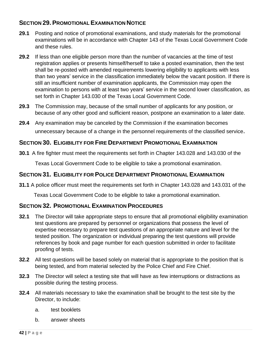## **SECTION 29. PROMOTIONAL EXAMINATION NOTICE**

- **29.1** Posting and notice of promotional examinations, and study materials for the promotional examinations will be in accordance with Chapter 143 of the Texas Local Government Code and these rules.
- **29.2** If less than one eligible person more than the number of vacancies at the time of test registration applies or presents himself/herself to take a posted examination, then the test shall be re-posted with amended requirements lowering eligibility to applicants with less than two years' service in the classification immediately below the vacant position. If there is still an insufficient number of examination applicants, the Commission may open the examination to persons with at least two years' service in the second lower classification, as set forth in Chapter 143.030 of the Texas Local Government Code.
- **29.3** The Commission may, because of the small number of applicants for any position, or because of any other good and sufficient reason, postpone an examination to a later date.
- **29.4** Any examination may be canceled by the Commission if the examination becomes unnecessary because of a change in the personnel requirements of the classified service.

## **SECTION 30. ELIGIBILITY FOR FIRE DEPARTMENT PROMOTIONAL EXAMINATION**

**30.1** A fire fighter must meet the requirements set forth in Chapter 143.028 and 143.030 of the

Texas Local Government Code to be eligible to take a promotional examination.

## **SECTION 31. ELIGIBILITY FOR POLICE DEPARTMENT PROMOTIONAL EXAMINATION**

**31.1** A police officer must meet the requirements set forth in Chapter 143.028 and 143.031 of the

Texas Local Government Code to be eligible to take a promotional examination.

### **SECTION 32. PROMOTIONAL EXAMINATION PROCEDURES**

- **32.1** The Director will take appropriate steps to ensure that all promotional eligibility examination test questions are prepared by personnel or organizations that possess the level of expertise necessary to prepare test questions of an appropriate nature and level for the tested position. The organization or individual preparing the test questions will provide references by book and page number for each question submitted in order to facilitate proofing of tests.
- **32.2** All test questions will be based solely on material that is appropriate to the position that is being tested, and from material selected by the Police Chief and Fire Chief.
- **32.3** The Director will select a testing site that will have as few interruptions or distractions as possible during the testing process.
- **32.4** All materials necessary to take the examination shall be brought to the test site by the Director, to include:
	- a. test booklets
	- b. answer sheets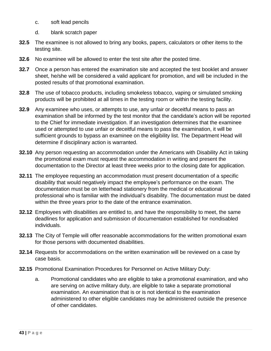- c. soft lead pencils
- d. blank scratch paper
- **32.5** The examinee is not allowed to bring any books, papers, calculators or other items to the testing site.
- **32.6** No examinee will be allowed to enter the test site after the posted time.
- **32.7** Once a person has entered the examination site and accepted the test booklet and answer sheet, he/she will be considered a valid applicant for promotion, and will be included in the posted results of that promotional examination.
- **32.8** The use of tobacco products, including smokeless tobacco, vaping or simulated smoking products will be prohibited at all times in the testing room or within the testing facility.
- **32.9** Any examinee who uses, or attempts to use, any unfair or deceitful means to pass an examination shall be informed by the test monitor that the candidate's action will be reported to the Chief for immediate investigation. If an investigation determines that the examinee used or attempted to use unfair or deceitful means to pass the examination, it will be sufficient grounds to bypass an examinee on the eligibility list. The Department Head will determine if disciplinary action is warranted.
- **32.10** Any person requesting an accommodation under the Americans with Disability Act in taking the promotional exam must request the accommodation in writing and present the documentation to the Director at least three weeks prior to the closing date for application.
- **32.11** The employee requesting an accommodation must present documentation of a specific disability that would negatively impact the employee's performance on the exam. The documentation must be on letterhead stationery from the medical or educational professional who is familiar with the individual's disability. The documentation must be dated within the three years prior to the date of the entrance examination.
- **32.12** Employees with disabilities are entitled to, and have the responsibility to meet, the same deadlines for application and submission of documentation established for nondisabled individuals.
- **32.13** The City of Temple will offer reasonable accommodations for the written promotional exam for those persons with documented disabilities.
- **32.14** Requests for accommodations on the written examination will be reviewed on a case by case basis.
- **32.15** Promotional Examination Procedures for Personnel on Active Military Duty:
	- a. Promotional candidates who are eligible to take a promotional examination, and who are serving on active military duty, are eligible to take a separate promotional examination. An examination that is or is not identical to the examination administered to other eligible candidates may be administered outside the presence of other candidates.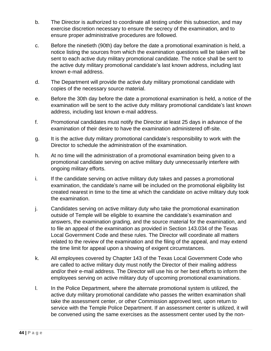- b. The Director is authorized to coordinate all testing under this subsection, and may exercise discretion necessary to ensure the secrecy of the examination, and to ensure proper administrative procedures are followed.
- c. Before the ninetieth (90th) day before the date a promotional examination is held, a notice listing the sources from which the examination questions will be taken will be sent to each active duty military promotional candidate. The notice shall be sent to the active duty military promotional candidate's last known address, including last known e-mail address.
- d. The Department will provide the active duty military promotional candidate with copies of the necessary source material.
- e. Before the 30th day before the date a promotional examination is held, a notice of the examination will be sent to the active duty military promotional candidate's last known address, including last known e-mail address.
- f. Promotional candidates must notify the Director at least 25 days in advance of the examination of their desire to have the examination administered off-site.
- g. It is the active duty military promotional candidate's responsibility to work with the Director to schedule the administration of the examination.
- h. At no time will the administration of a promotional examination being given to a promotional candidate serving on active military duty unnecessarily interfere with ongoing military efforts.
- i. If the candidate serving on active military duty takes and passes a promotional examination, the candidate's name will be included on the promotional eligibility list created nearest in time to the time at which the candidate on active military duty took the examination.
- j. Candidates serving on active military duty who take the promotional examination outside of Temple will be eligible to examine the candidate's examination and answers, the examination grading, and the source material for the examination, and to file an appeal of the examination as provided in Section 143.034 of the Texas Local Government Code and these rules. The Director will coordinate all matters related to the review of the examination and the filing of the appeal, and may extend the time limit for appeal upon a showing of exigent circumstances.
- k. All employees covered by Chapter 143 of the Texas Local Government Code who are called to active military duty must notify the Director of their mailing address and/or their e-mail address. The Director will use his or her best efforts to inform the employees serving on active military duty of upcoming promotional examinations.
- l. In the Police Department, where the alternate promotional system is utilized, the active duty military promotional candidate who passes the written examination shall take the assessment center, or other Commission approved test, upon return to service with the Temple Police Department. If an assessment center is utilized, it will be convened using the same exercises as the assessment center used by the non-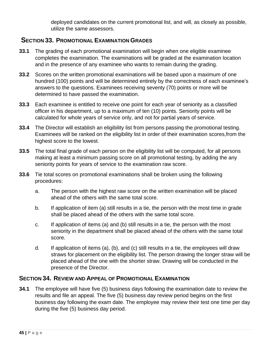deployed candidates on the current promotional list, and will, as closely as possible, utilize the same assessors.

# **SECTION 33. PROMOTIONAL EXAMINATION GRADES**

- **33.1** The grading of each promotional examination will begin when one eligible examinee completes the examination. The examinations will be graded at the examination location and in the presence of any examinee who wants to remain during the grading.
- **33.2** Scores on the written promotional examinations will be based upon a maximum of one hundred (100) points and will be determined entirely by the correctness of each examinee's answers to the questions. Examinees receiving seventy (70) points or more will be determined to have passed the examination.
- **33.3** Each examinee is entitled to receive one point for each year of seniority as a classified officer in his department, up to a maximum of ten (10) points. Seniority points will be calculated for whole years of service only, and not for partial years of service.
- **33.4** The Director will establish an eligibility list from persons passing the promotional testing. Examinees will be ranked on the eligibility list in order of their examination scores,from the highest score to the lowest.
- **33.5** The total final grade of each person on the eligibility list will be computed, for all persons making at least a minimum passing score on all promotional testing, by adding the any seniority points for years of service to the examination raw score.
- **33.6** Tie total scores on promotional examinations shall be broken using the following procedures:
	- a. The person with the highest raw score on the written examination will be placed ahead of the others with the same total score.
	- b. If application of item (a) still results in a tie, the person with the most time in grade shall be placed ahead of the others with the same total score.
	- c. If application of items (a) and (b) still results in a tie, the person with the most seniority in the department shall be placed ahead of the others with the same total score.
	- d. If application of items (a), (b), and (c) still results in a tie, the employees will draw straws for placement on the eligibility list. The person drawing the longer straw will be placed ahead of the one with the shorter straw. Drawing will be conducted in the presence of the Director.

## **SECTION 34. REVIEW AND APPEAL OF PROMOTIONAL EXAMINATION**

**34.1** The employee will have five (5) business days following the examination date to review the results and file an appeal. The five (5) business day review period begins on the first business day following the exam date. The employee may review their test one time per day during the five (5) business day period.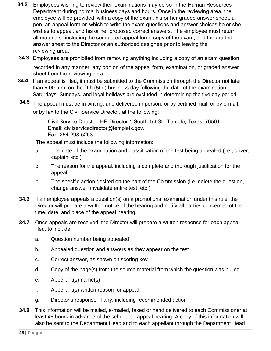- **34.2** Employees wishing to review their examinations may do so in the Human Resources Department during normal business days and hours. Once in the reviewing area, the employee will be provided with a copy of the exam, his or her graded answer sheet, a pen, an appeal form on which to write the exam questions and answer choices he or she wishes to appeal, and his or her proposed correct answers. The employee must return all materials including the completed appeal form, copy of the exam, and the graded answer sheet to the Director or an authorized designee prior to leaving the reviewing area.
- **34.3** Employees are prohibited from removing anything including a copy of an exam question recorded in any manner, any portion of the appeal form, examination, or graded answer sheet from the reviewing area.
- **34.4** If an appeal is filed, it must be submitted to the Commission through the Director not later than 5:00 p.m. on the fifth (5th ) business day following the date of the examination. Saturdays, Sundays, and legal holidays are excluded in determining the five day period.
- **34.5** The appeal must be in writing, and delivered in person, or by certified mail, or by e-mail, or by fax to t[he Civil Service Director, at](mailto:sesqueda@templetx.gov) the following:

Civil Service Director, HR Director 1 South 1st St., Temple, Texas 76501 Email: civilservicedirector@templetx.gov. Fax: 254-298-5253

The appeal must include the following information:

- a. The date of the examination and classification of the test being appealed (i.e., driver, captain, etc.)
- b. The reason for the appeal, including a complete and thorough justification for the appeal.
- c. The specific action desired on the part of the Commission (i.e. delete the question, change answer, invalidate entire test, etc.)
- **34.6** If an employee appeals a question(s) on a promotional examination under this rule, the Director will prepare a written notice of the hearing and notify all parties concerned of the time, date, and place of the appeal hearing.
- **34.7** Once appeals are received, the Director will prepare a written response for each appeal filed, to include:
	- a. Question number being appealed
	- b. Appealed question and answers as they appear on the test
	- c. Correct answer, as shown on scoring key
	- d. Copy of the page(s) from the source material from which the question was pulled
	- e. Appellant(s) name(s)
	- f. Appellant(s) written reason for appeal
	- g. Director's response, if any, including recommended action
- **34.8** This information will be mailed, e-mailed, faxed or hand delivered to each Commissioner at least 48 hours in advance of the scheduled appeal hearing. A copy of this information will also be sent to the Department Head and to each appellant through the Department Head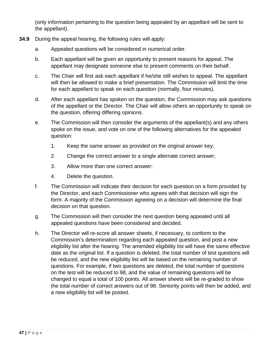(only information pertaining to the question being appealed by an appellant will be sent to the appellant).

- **34.9** During the appeal hearing, the following rules will apply:
	- a. Appealed questions will be considered in numerical order.
	- b. Each appellant will be given an opportunity to present reasons for appeal. The appellant may designate someone else to present comments on their behalf.
	- c. The Chair will first ask each appellant if he/she still wishes to appeal. The appellant will then be allowed to make a brief presentation. The Commission will limit the time for each appellant to speak on each question (normally, four minutes).
	- d. After each appellant has spoken on the question, the Commission may ask questions of the appellant or the Director. The Chair will allow others an opportunity to speak on the question, offering differing opinions.
	- e. The Commission will then consider the arguments of the appellant(s) and any others spoke on the issue, and vote on one of the following alternatives for the appealed question:
		- 1. Keep the same answer as provided on the original answer key;
		- 2. Change the correct answer to a single alternate correct answer;
		- 3. Allow more than one correct answer;
		- 4. Delete the question.
	- f. The Commission will indicate their decision for each question on a form provided by the Director, and each Commissioner who agrees with that decision will sign the form. A majority of the Commission agreeing on a decision will determine the final decision on that question.
	- g. The Commission will then consider the next question being appealed until all appealed questions have been considered and decided.
	- h. The Director will re-score all answer sheets, if necessary, to conform to the Commission's determination regarding each appealed question, and post a new eligibility list after the hearing. The amended eligibility list will have the same effective date as the original list. If a question is deleted, the total number of test questions will be reduced, and the new eligibility list will be based on the remaining number of questions. For example, if two questions are deleted, the total number of questions on the test will be reduced to 98, and the value of remaining questions will be changed to equal a total of 100 points. All answer sheets will be re-graded to show the total number of correct answers out of 98. Seniority points will then be added, and a new eligibility list will be posted.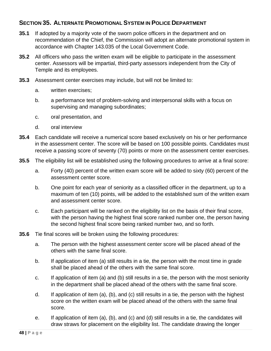## **SECTION 35. ALTERNATE PROMOTIONAL SYSTEM IN POLICE DEPARTMENT**

- **35.1** If adopted by a majority vote of the sworn police officers in the department and on recommendation of the Chief, the Commission will adopt an alternate promotional system in accordance with Chapter 143.035 of the Local Government Code.
- **35.2** All officers who pass the written exam will be eligible to participate in the assessment center. Assessors will be impartial, third-party assessors independent from the City of Temple and its employees.
- **35.3** Assessment center exercises may include, but will not be limited to:
	- a. written exercises;
	- b. a performance test of problem-solving and interpersonal skills with a focus on supervising and managing subordinates;
	- c. oral presentation, and
	- d. oral interview
- **35.4** Each candidate will receive a numerical score based exclusively on his or her performance in the assessment center. The score will be based on 100 possible points. Candidates must receive a passing score of seventy (70) points or more on the assessment center exercises.
- **35.5** The eligibility list will be established using the following procedures to arrive at a final score:
	- a. Forty (40) percent of the written exam score will be added to sixty (60) percent of the assessment center score.
	- b. One point for each year of seniority as a classified officer in the department, up to a maximum of ten (10) points, will be added to the established sum of the written exam and assessment center score.
	- c. Each participant will be ranked on the eligibility list on the basis of their final score, with the person having the highest final score ranked number one, the person having the second highest final score being ranked number two, and so forth.
- **35.6** Tie final scores will be broken using the following procedures:
	- a. The person with the highest assessment center score will be placed ahead of the others with the same final score.
	- b. If application of item (a) still results in a tie, the person with the most time in grade shall be placed ahead of the others with the same final score.
	- c. If application of item (a) and (b) still results in a tie, the person with the most seniority in the department shall be placed ahead of the others with the same final score.
	- d. If application of item (a), (b), and (c) still results in a tie, the person with the highest score on the written exam will be placed ahead of the others with the same final score.
	- e. If application of item (a), (b), and (c) and (d) still results in a tie, the candidates will draw straws for placement on the eligibility list. The candidate drawing the longer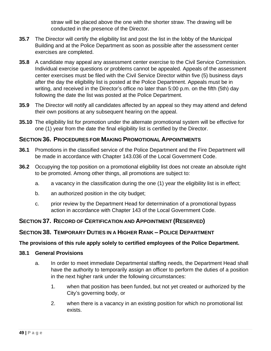straw will be placed above the one with the shorter straw. The drawing will be conducted in the presence of the Director.

- **35.7** The Director will certify the eligibility list and post the list in the lobby of the Municipal Building and at the Police Department as soon as possible after the assessment center exercises are completed.
- **35.8** A candidate may appeal any assessment center exercise to the Civil Service Commission. Individual exercise questions or problems cannot be appealed. Appeals of the assessment center exercises must be filed with the Civil Service Director within five (5) business days after the day the eligibility list is posted at the Police Department. Appeals must be in writing, and received in the Director's office no later than 5:00 p.m. on the fifth (5th) day following the date the list was posted at the Police Department.
- **35.9** The Director will notify all candidates affected by an appeal so they may attend and defend their own positions at any subsequent hearing on the appeal.
- **35.10** The eligibility list for promotion under the alternate promotional system will be effective for one (1) year from the date the final eligibility list is certified by the Director.

## **SECTION 36. PROCEDURES FOR MAKING PROMOTIONAL APPOINTMENTS**

- **36.1** Promotions in the classified service of the Police Department and the Fire Department will be made in accordance with Chapter 143.036 of the Local Government Code.
- **36.2** Occupying the top position on a promotional eligibility list does not create an absolute right to be promoted. Among other things, all promotions are subject to:
	- a. a vacancy in the classification during the one (1) year the eligibility list is in effect;
	- b. an authorized position in the city budget;
	- c. prior review by the Department Head for determination of a promotional bypass action in accordance with Chapter 143 of the Local Government Code.

## **SECTION 37. RECORD OF CERTIFICATION AND APPOINTMENT (RESERVED)**

## **SECTION 38. TEMPORARY DUTIES IN A HIGHER RANK – POLICE DEPARTMENT**

### **The provisions of this rule apply solely to certified employees of the Police Department.**

#### **38.1 General Provisions**

- a. In order to meet immediate Departmental staffing needs, the Department Head shall have the authority to temporarily assign an officer to perform the duties of a position in the next higher rank under the following circumstances:
	- 1. when that position has been funded, but not yet created or authorized by the City's governing body, or
	- 2. when there is a vacancy in an existing position for which no promotional list exists.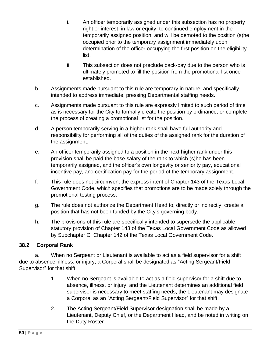- i. An officer temporarily assigned under this subsection has no property right or interest, in law or equity, to continued employment in the temporarily assigned position, and will be demoted to the position (s)he occupied prior to the temporary assignment immediately upon determination of the officer occupying the first position on the eligibility list.
- ii. This subsection does not preclude back-pay due to the person who is ultimately promoted to fill the position from the promotional list once established.
- b. Assignments made pursuant to this rule are temporary in nature, and specifically intended to address immediate, pressing Departmental staffing needs.
- c. Assignments made pursuant to this rule are expressly limited to such period of time as is necessary for the City to formally create the position by ordinance, or complete the process of creating a promotional list for the position.
- d. A person temporarily serving in a higher rank shall have full authority and responsibility for performing all of the duties of the assigned rank for the duration of the assignment.
- e. An officer temporarily assigned to a position in the next higher rank under this provision shall be paid the base salary of the rank to which (s)he has been temporarily assigned, and the officer's own longevity or seniority pay, educational incentive pay, and certification pay for the period of the temporary assignment.
- f. This rule does not circumvent the express intent of Chapter 143 of the Texas Local Government Code, which specifies that promotions are to be made solely through the promotional testing process.
- g. The rule does not authorize the Department Head to, directly or indirectly, create a position that has not been funded by the City's governing body.
- h. The provisions of this rule are specifically intended to supersede the applicable statutory provision of Chapter 143 of the Texas Local Government Code as allowed by Subchapter C, Chapter 142 of the Texas Local Government Code.

## **38.2 Corporal Rank**

a. When no Sergeant or Lieutenant is available to act as a field supervisor for a shift due to absence, illness, or injury, a Corporal shall be designated as "Acting Sergeant/Field Supervisor" for that shift.

- 1. When no Sergeant is available to act as a field supervisor for a shift due to absence, illness, or injury, and the Lieutenant determines an additional field supervisor is necessary to meet staffing needs, the Lieutenant may designate a Corporal as an "Acting Sergeant/Field Supervisor" for that shift.
- 2. The Acting Sergeant/Field Supervisor designation shall be made by a Lieutenant, Deputy Chief, or the Department Head, and be noted in writing on the Duty Roster.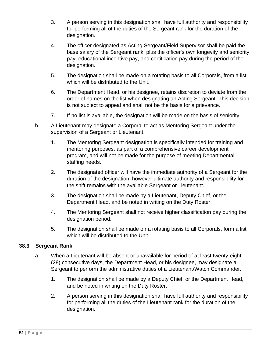- 3. A person serving in this designation shall have full authority and responsibility for performing all of the duties of the Sergeant rank for the duration of the designation.
- 4. The officer designated as Acting Sergeant/Field Supervisor shall be paid the base salary of the Sergeant rank, plus the officer's own longevity and seniority pay, educational incentive pay, and certification pay during the period of the designation.
- 5. The designation shall be made on a rotating basis to all Corporals, from a list which will be distributed to the Unit.
- 6. The Department Head, or his designee, retains discretion to deviate from the order of names on the list when designating an Acting Sergeant. This decision is not subject to appeal and shall not be the basis for a grievance.
- 7. If no list is available, the designation will be made on the basis of seniority.
- b. A Lieutenant may designate a Corporal to act as Mentoring Sergeant under the supervision of a Sergeant or Lieutenant.
	- 1. The Mentoring Sergeant designation is specifically intended for training and mentoring purposes, as part of a comprehensive career development program, and will not be made for the purpose of meeting Departmental staffing needs.
	- 2. The designated officer will have the immediate authority of a Sergeant for the duration of the designation, however ultimate authority and responsibility for the shift remains with the available Sergeant or Lieutenant.
	- 3. The designation shall be made by a Lieutenant, Deputy Chief, or the Department Head, and be noted in writing on the Duty Roster.
	- 4. The Mentoring Sergeant shall not receive higher classification pay during the designation period.
	- 5. The designation shall be made on a rotating basis to all Corporals, form a list which will be distributed to the Unit.

## **38.3 Sergeant Rank**

- a. When a Lieutenant will be absent or unavailable for period of at least twenty-eight (28) consecutive days, the Department Head, or his designee, may designate a Sergeant to perform the administrative duties of a Lieutenant/Watch Commander.
	- 1. The designation shall be made by a Deputy Chief, or the Department Head, and be noted in writing on the Duty Roster.
	- 2. A person serving in this designation shall have full authority and responsibility for performing all the duties of the Lieutenant rank for the duration of the designation.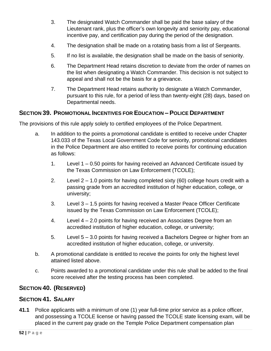- 3. The designated Watch Commander shall be paid the base salary of the Lieutenant rank, plus the officer's own longevity and seniority pay, educational incentive pay, and certification pay during the period of the designation.
- 4. The designation shall be made on a rotating basis from a list of Sergeants.
- 5. If no list is available, the designation shall be made on the basis of seniority.
- 6. The Department Head retains discretion to deviate from the order of names on the list when designating a Watch Commander. This decision is not subject to appeal and shall not be the basis for a grievance.
- 7. The Department Head retains authority to designate a Watch Commander, pursuant to this rule, for a period of less than twenty-eight (28) days, based on Departmental needs.

## **SECTION 39. PROMOTIONAL INCENTIVES FOR EDUCATION – POLICE DEPARTMENT**

The provisions of this rule apply solely to certified employees of the Police Department.

- a. In addition to the points a promotional candidate is entitled to receive under Chapter 143.033 of the Texas Local Government Code for seniority, promotional candidates in the Police Department are also entitled to receive points for continuing education as follows:
	- 1. Level 1 0.50 points for having received an Advanced Certificate issued by the Texas Commission on Law Enforcement (TCOLE);
	- 2. Level 2 1.0 points for having completed sixty (60) college hours credit with a passing grade from an accredited institution of higher education, college, or university;
	- 3. Level 3 1.5 points for having received a Master Peace Officer Certificate issued by the Texas Commission on Law Enforcement (TCOLE);
	- 4. Level 4 2.0 points for having received an Associates Degree from an accredited institution of higher education, college, or university;
	- 5. Level 5 3.0 points for having received a Bachelors Degree or higher from an accredited institution of higher education, college, or university.
- b. A promotional candidate is entitled to receive the points for only the highest level attained listed above.
- c. Points awarded to a promotional candidate under this rule shall be added to the final score received after the testing process has been completed.

## **SECTION 40. (RESERVED)**

## **SECTION 41. SALARY**

**41.1** Police applicants with a minimum of one (1) year full-time prior service as a police officer, and possessing a TCOLE license or having passed the TCOLE state licensing exam, will be placed in the current pay grade on the Temple Police Department compensation plan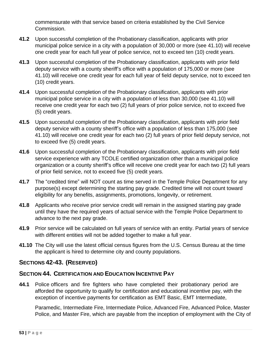commensurate with that service based on criteria established by the Civil Service Commission.

- **41.2** Upon successful completion of the Probationary classification, applicants with prior municipal police service in a city with a population of 30,000 or more (see 41.10) will receive one credit year for each full year of police service, not to exceed ten (10) credit years.
- **41.3** Upon successful completion of the Probationary classification, applicants with prior field deputy service with a county sheriff's office with a population of 175,000 or more (see 41.10) will receive one credit year for each full year of field deputy service, not to exceed ten (10) credit years.
- **41.4** Upon successful completion of the Probationary classification, applicants with prior municipal police service in a city with a population of less than 30,000 (see 41.10) will receive one credit year for each two (2) full years of prior police service, not to exceed five (5) credit years.
- **41.5** Upon successful completion of the Probationary classification, applicants with prior field deputy service with a county sheriff's office with a population of less than 175,000 (see 41.10) will receive one credit year for each two (2) full years of prior field deputy service, not to exceed five (5) credit years.
- **41.6** Upon successful completion of the Probationary classification, applicants with prior field service experience with any TCOLE certified organization other than a municipal police organization or a county sheriff's office will receive one credit year for each two (2) full years of prior field service, not to exceed five (5) credit years.
- **41.7** The "credited time" will NOT count as time served in the Temple Police Department for any purpose(s) except determining the starting pay grade. Credited time will not count toward eligibility for any benefits, assignments, promotions, longevity, or retirement.
- **41.8** Applicants who receive prior service credit will remain in the assigned starting pay grade until they have the required years of actual service with the Temple Police Department to advance to the next pay grade.
- **41.9** Prior service will be calculated on full years of service with an entity. Partial years of service with different entities will not be added together to make a full year.
- **41.10** The City will use the latest official census figures from the U.S. Census Bureau at the time the applicant is hired to determine city and county populations.

# **SECTIONS 42-43. (RESERVED)**

## **SECTION 44. CERTIFICATION AND EDUCATION INCENTIVE PAY**

**44.1** Police officers and fire fighters who have completed their probationary period are afforded the opportunity to qualify for certification and educational incentive pay, with the exception of incentive payments for certification as EMT Basic, EMT Intermediate,

Paramedic, Intermediate Fire, Intermediate Police, Advanced Fire, Advanced Police, Master Police, and Master Fire, which are payable from the inception of employment with the City of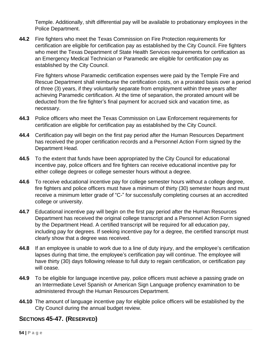Temple. Additionally, shift differential pay will be available to probationary employees in the Police Department.

**44.2** Fire fighters who meet the Texas Commission on Fire Protection requirements for certification are eligible for certification pay as established by the City Council. Fire fighters who meet the Texas Department of State Health Services requirements for certification as an Emergency Medical Technician or Paramedic are eligible for certification pay as established by the City Council.

Fire fighters whose Paramedic certification expenses were paid by the Temple Fire and Rescue Department shall reimburse the certification costs, on a prorated basis over a period of three (3) years, if they voluntarily separate from employment within three years after achieving Paramedic certification. At the time of separation, the prorated amount will be deducted from the fire fighter's final payment for accrued sick and vacation time, as necessary.

- **44.3** Police officers who meet the Texas Commission on Law Enforcement requirements for certification are eligible for certification pay as established by the City Council.
- **44.4** Certification pay will begin on the first pay period after the Human Resources Department has received the proper certification records and a Personnel Action Form signed by the Department Head.
- **44.5** To the extent that funds have been appropriated by the City Council for educational incentive pay, police officers and fire fighters can receive educational incentive pay for either college degrees or college semester hours without a degree.
- **44.6** To receive educational incentive pay for college semester hours without a college degree, fire fighters and police officers must have a minimum of thirty (30) semester hours and must receive a minimum letter grade of "C-" for successfully completing courses at an accredited college or university.
- **44.7** Educational incentive pay will begin on the first pay period after the Human Resources Department has received the original college transcript and a Personnel Action Form signed by the Department Head. A certified transcript will be required for all education pay, including pay for degrees. If seeking incentive pay for a degree, the certified transcript must clearly show that a degree was received.
- **44.8** If an employee is unable to work due to a line of duty injury, and the employee's certification lapses during that time, the employee's certification pay will continue. The employee will have thirty (30) days following release to full duty to regain certification, or certification pay will cease.
- **44.9** To be eligible for language incentive pay, police officers must achieve a passing grade on an Intermediate Level Spanish or American Sign Language profiency examination to be administered through the Human Resources Department.
- **44.10** The amount of language incentive pay for eligible police officers will be established by the City Council during the annual budget review.

# **SECTIONS 45-47. (RESERVED)**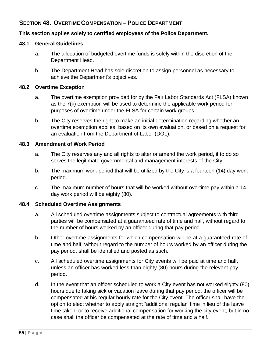# **SECTION 48. OVERTIME COMPENSATION – POLICE DEPARTMENT**

### **This section applies solely to certified employees of the Police Department.**

#### **48.1 General Guidelines**

- a. The allocation of budgeted overtime funds is solely within the discretion of the Department Head.
- b. The Department Head has sole discretion to assign personnel as necessary to achieve the Department's objectives.

#### **48.2 Overtime Exception**

- a. The overtime exemption provided for by the Fair Labor Standards Act (FLSA) known as the 7(k) exemption will be used to determine the applicable work period for purposes of overtime under the FLSA for certain work groups.
- b. The City reserves the right to make an initial determination regarding whether an overtime exemption applies, based on its own evaluation, or based on a request for an evaluation from the Department of Labor (DOL).

#### **48.3 Amendment of Work Period**

- a. The City reserves any and all rights to alter or amend the work period, if to do so serves the legitimate governmental and management interests of the City.
- b. The maximum work period that will be utilized by the City is a fourteen (14) day work period.
- c. The maximum number of hours that will be worked without overtime pay within a 14 day work period will be eighty (80).

#### **48.4 Scheduled Overtime Assignments**

- a. All scheduled overtime assignments subject to contractual agreements with third parties will be compensated at a guaranteed rate of time and half, without regard to the number of hours worked by an officer during that pay period.
- b. Other overtime assignments for which compensation will be at a guaranteed rate of time and half, without regard to the number of hours worked by an officer during the pay period, shall be identified and posted as such.
- c. All scheduled overtime assignments for City events will be paid at time and half, unless an officer has worked less than eighty (80) hours during the relevant pay period.
- d. In the event that an officer scheduled to work a City event has not worked eighty (80) hours due to taking sick or vacation leave during that pay period, the officer will be compensated at his regular hourly rate for the City event. The officer shall have the option to elect whether to apply straight "additional regular" time in lieu of the leave time taken, or to receive additional compensation for working the city event, but in no case shall the officer be compensated at the rate of time and a half.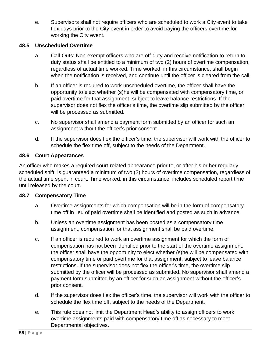e. Supervisors shall not require officers who are scheduled to work a City event to take flex days prior to the City event in order to avoid paying the officers overtime for working the City event.

### **48.5 Unscheduled Overtime**

- a. Call-Outs: Non-exempt officers who are off-duty and receive notification to return to duty status shall be entitled to a minimum of two (2) hours of overtime compensation, regardless of actual time worked. Time worked, in this circumstance, shall begin when the notification is received, and continue until the officer is cleared from the call.
- b. If an officer is required to work unscheduled overtime, the officer shall have the opportunity to elect whether (s)he will be compensated with compensatory time, or paid overtime for that assignment, subject to leave balance restrictions. If the supervisor does not flex the officer's time, the overtime slip submitted by the officer will be processed as submitted.
- c. No supervisor shall amend a payment form submitted by an officer for such an assignment without the officer's prior consent.
- d. If the supervisor does flex the officer's time, the supervisor will work with the officer to schedule the flex time off, subject to the needs of the Department.

### **48.6 Court Appearances**

An officer who makes a required court-related appearance prior to, or after his or her regularly scheduled shift, is guaranteed a minimum of two (2) hours of overtime compensation, regardless of the actual time spent in court. Time worked, in this circumstance, includes scheduled report time until released by the court.

#### **48.7 Compensatory Time**

- a. Overtime assignments for which compensation will be in the form of compensatory time off in lieu of paid overtime shall be identified and posted as such in advance.
- b. Unless an overtime assignment has been posted as a compensatory time assignment, compensation for that assignment shall be paid overtime.
- c. If an officer is required to work an overtime assignment for which the form of compensation has not been identified prior to the start of the overtime assignment, the officer shall have the opportunity to elect whether (s)he will be compensated with compensatory time or paid overtime for that assignment, subject to leave balance restrictions. If the supervisor does not flex the officer's time, the overtime slip submitted by the officer will be processed as submitted. No supervisor shall amend a payment form submitted by an officer for such an assignment without the officer's prior consent.
- d. If the supervisor does flex the officer's time, the supervisor will work with the officer to schedule the flex time off, subject to the needs of the Department.
- e. This rule does not limit the Department Head's ability to assign officers to work overtime assignments paid with compensatory time off as necessary to meet Departmental objectives.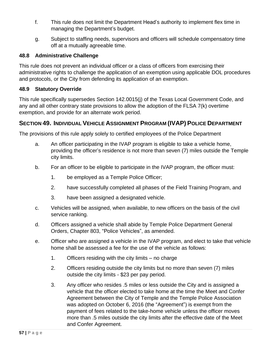- f. This rule does not limit the Department Head's authority to implement flex time in managing the Department's budget.
- g. Subject to staffing needs, supervisors and officers will schedule compensatory time off at a mutually agreeable time.

### **48.8 Administrative Challenge**

This rule does not prevent an individual officer or a class of officers from exercising their administrative rights to challenge the application of an exemption using applicable DOL procedures and protocols, or the City from defending its application of an exemption.

### **48.9 Statutory Override**

This rule specifically supersedes Section 142.0015(j) of the Texas Local Government Code, and any and all other contrary state provisions to allow the adoption of the FLSA 7(k) overtime exemption, and provide for an alternate work period.

### **SECTION 49. INDIVIDUAL VEHICLE ASSIGNMENT PROGRAM (IVAP) POLICE DEPARTMENT**

The provisions of this rule apply solely to certified employees of the Police Department

- a. An officer participating in the IVAP program is eligible to take a vehicle home, providing the officer's residence is not more than seven (7) miles outside the Temple city limits.
- b. For an officer to be eligible to participate in the IVAP program, the officer must:
	- 1. be employed as a Temple Police Officer;
	- 2. have successfully completed all phases of the Field Training Program, and
	- 3. have been assigned a designated vehicle.
- c. Vehicles will be assigned, when available, to new officers on the basis of the civil service ranking.
- d. Officers assigned a vehicle shall abide by Temple Police Department General Orders, Chapter 803, "Police Vehicles", as amended.
- e. Officer who are assigned a vehicle in the IVAP program, and elect to take that vehicle home shall be assessed a fee for the use of the vehicle as follows:
	- 1. Officers residing with the city limits no charge
	- 2. Officers residing outside the city limits but no more than seven (7) miles outside the city limits - \$23 per pay period.
	- 3. Any officer who resides .5 miles or less outside the City and is assigned a vehicle that the officer elected to take home at the time the Meet and Confer Agreement between the City of Temple and the Temple Police Association was adopted on October 6, 2016 (the "Agreement") is exempt from the payment of fees related to the take-home vehicle unless the officer moves more than .5 miles outside the city limits after the effective date of the Meet and Confer Agreement.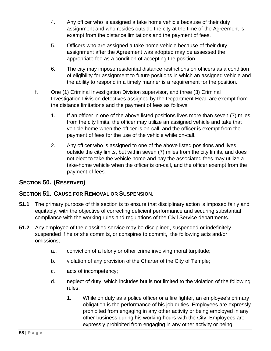- 4. Any officer who is assigned a take home vehicle because of their duty assignment and who resides outside the city at the time of the Agreement is exempt from the distance limitations and the payment of fees.
- 5. Officers who are assigned a take home vehicle because of their duty assignment after the Agreement was adopted may be assessed the appropriate fee as a condition of accepting the position.
- 6. The city may impose residential distance restrictions on officers as a condition of eligibility for assignment to future positions in which an assigned vehicle and the ability to respond in a timely manner is a requirement for the position.
- f. One (1) Criminal Investigation Division supervisor, and three (3) Criminal Investigation Division detectives assigned by the Department Head are exempt from the distance limitations and the payment of fees as follows:
	- 1. If an officer in one of the above listed positions lives more than seven (7) miles from the city limits, the officer may utilize an assigned vehicle and take that vehicle home when the officer is on-call, and the officer is exempt from the payment of fees for the use of the vehicle while on-call.
	- 2. Any officer who is assigned to one of the above listed positions and lives outside the city limits, but within seven (7) miles from the city limits, and does not elect to take the vehicle home and pay the associated fees may utilize a take-home vehicle when the officer is on-call, and the officer exempt from the payment of fees.

# **SECTION 50. (RESERVED)**

## **SECTION 51. CAUSE FOR REMOVAL OR SUSPENSION**.

- **51.1** The primary purpose of this section is to ensure that disciplinary action is imposed fairly and equitably, with the objective of correcting deficient performance and securing substantial compliance with the working rules and regulations of the Civil Service departments.
- **51.2** Any employee of the classified service may be disciplined, suspended or indefinitely suspended if he or she commits, or conspires to commit, the following acts and/or omissions;
	- a.. conviction of a felony or other crime involving moral turpitude;
	- b. violation of any provision of the Charter of the City of Temple;
	- c. acts of incompetency;
	- d. neglect of duty, which includes but is not limited to the violation of the following rules:
		- 1. While on duty as a police officer or a fire fighter, an employee's primary obligation is the performance of his job duties. Employees are expressly prohibited from engaging in any other activity or being employed in any other business during his working hours with the City. Employees are expressly prohibited from engaging in any other activity or being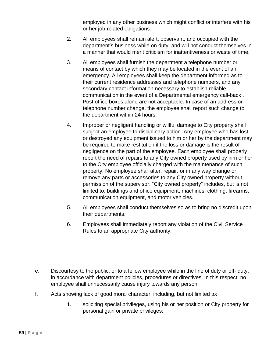employed in any other business which might conflict or interfere with his or her job-related obligations.

- 2. All employees shall remain alert, observant, and occupied with the department's business while on duty, and will not conduct themselves in a manner that would merit criticism for inattentiveness or waste of time.
- 3. All employees shall furnish the department a telephone number or means of contact by which they may be located in the event of an emergency. All employees shall keep the department informed as to their current residence addresses and telephone numbers, and any secondary contact information necessary to establish reliable communication in the event of a Departmental emergency call-back . Post office boxes alone are not acceptable. In case of an address or telephone number change, the employee shall report such change to the department within 24 hours.
- 4. Improper or negligent handling or willful damage to City property shall subject an employee to disciplinary action. Any employee who has lost or destroyed any equipment issued to him or her by the department may be required to make restitution if the loss or damage is the result of negligence on the part of the employee. Each employee shall properly report the need of repairs to any City owned property used by him or her to the City employee officially charged with the maintenance of such property. No employee shall alter, repair, or in any way change or remove any parts or accessories to any City owned property without permission of the supervisor. "City owned property" includes, but is not limited to, buildings and office equipment, machines, clothing, firearms, communication equipment, and motor vehicles.
- 5. All employees shall conduct themselves so as to bring no discredit upon their departments.
- 6. Employees shall immediately report any violation of the Civil Service Rules to an appropriate City authority.
- e. Discourtesy to the public, or to a fellow employee while in the line of duty or off- duty, in accordance with department policies, procedures or directives. In this respect, no employee shall unnecessarily cause injury towards any person.
- f. Acts showing lack of good moral character, including, but not limited to:
	- 1. soliciting special privileges, using his or her position or City property for personal gain or private privileges;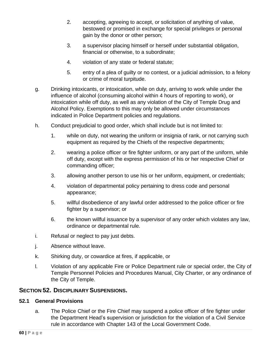- 2. accepting, agreeing to accept, or solicitation of anything of value, bestowed or promised in exchange for special privileges or personal gain by the donor or other person;
- 3. a supervisor placing himself or herself under substantial obligation, financial or otherwise, to a subordinate;
- 4. violation of any state or federal statute;
- 5. entry of a plea of guilty or no contest, or a judicial admission, to a felony or crime of moral turpitude.
- g. Drinking intoxicants, or intoxication, while on duty, arriving to work while under the influence of alcohol (consuming alcohol within 4 hours of reporting to work), or intoxication while off duty, as well as any violation of the City of Temple Drug and Alcohol Policy. Exemptions to this may only be allowed under circumstances indicated in Police Department policies and regulations.
- h. Conduct prejudicial to good order, which shall include but is not limited to:
	- 1. while on duty, not wearing the uniform or insignia of rank, or not carrying such equipment as required by the Chiefs of the respective departments;
	- 2. wearing a police officer or fire fighter uniform, or any part of the uniform, while off duty, except with the express permission of his or her respective Chief or commanding officer;
	- 3. allowing another person to use his or her uniform, equipment, or credentials;
	- 4. violation of departmental policy pertaining to dress code and personal appearance;
	- 5. willful disobedience of any lawful order addressed to the police officer or fire fighter by a supervisor; or
	- 6. the known willful issuance by a supervisor of any order which violates any law, ordinance or departmental rule.
- i. Refusal or neglect to pay just debts.
- j. Absence without leave.
- k. Shirking duty, or cowardice at fires, if applicable, or
- l. Violation of any applicable Fire or Police Department rule or special order, the City of Temple Personnel Policies and Procedures Manual, City Charter, or any ordinance of the City of Temple.

### **SECTION 52. DISCIPLINARY SUSPENSIONS.**

#### **52.1 General Provisions**

a. The Police Chief or the Fire Chief may suspend a police officer of fire fighter under the Department Head's supervision or jurisdiction for the violation of a Civil Service rule in accordance with Chapter 143 of the Local Government Code.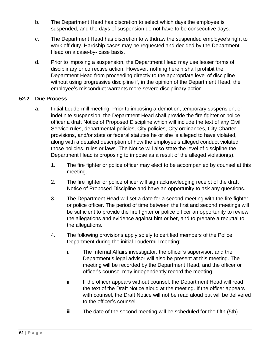- b. The Department Head has discretion to select which days the employee is suspended, and the days of suspension do not have to be consecutive days.
- c. The Department Head has discretion to withdraw the suspended employee's right to work off duty. Hardship cases may be requested and decided by the Department Head on a case-by- case basis.
- d. Prior to imposing a suspension, the Department Head may use lesser forms of disciplinary or corrective action. However, nothing herein shall prohibit the Department Head from proceeding directly to the appropriate level of discipline without using progressive discipline if, in the opinion of the Department Head, the employee's misconduct warrants more severe disciplinary action.

### **52.2 Due Process**

- a. Initial Loudermill meeting: Prior to imposing a demotion, temporary suspension, or indefinite suspension, the Department Head shall provide the fire fighter or police officer a draft Notice of Proposed Discipline which will include the text of any Civil Service rules, departmental policies, City policies, City ordinances, City Charter provisions, and/or state or federal statutes he or she is alleged to have violated, along with a detailed description of how the employee's alleged conduct violated those policies, rules or laws. The Notice will also state the level of discipline the Department Head is proposing to impose as a result of the alleged violation(s).
	- 1. The fire fighter or police officer may elect to be accompanied by counsel at this meeting.
	- 2. The fire fighter or police officer will sign acknowledging receipt of the draft Notice of Proposed Discipline and have an opportunity to ask any questions.
	- 3. The Department Head will set a date for a second meeting with the fire fighter or police officer. The period of time between the first and second meetings will be sufficient to provide the fire fighter or police officer an opportunity to review the allegations and evidence against him or her, and to prepare a rebuttal to the allegations.
	- 4. The following provisions apply solely to certified members of the Police Department during the initial Loudermill meeting:
		- i. The Internal Affairs investigator, the officer's supervisor, and the Department's legal advisor will also be present at this meeting. The meeting will be recorded by the Department Head, and the officer or officer's counsel may independently record the meeting.
		- ii. If the officer appears without counsel, the Department Head will read the text of the Draft Notice aloud at the meeting. If the officer appears with counsel, the Draft Notice will not be read aloud but will be delivered to the officer's counsel.
		- iii. The date of the second meeting will be scheduled for the fifth (5th)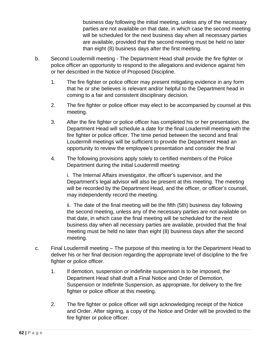business day following the initial meeting, unless any of the necessary parties are not available on that date, in which case the second meeting will be scheduled for the next business day when all necessary parties are available, provided that the second meeting must be held no later than eight (8) business days after the first meeting.

- b. Second Loudermill meeting The Department Head shall provide the fire fighter or police officer an opportunity to respond to the allegations and evidence against him or her described in the Notice of Proposed Discipline.
	- 1. The fire fighter or police officer may present mitigating evidence in any form that he or she believes is relevant and/or helpful to the Department head in coming to a fair and consistent disciplinary decision.
	- 2. The fire fighter or police officer may elect to be accompanied by counsel at this meeting.
	- 3. After the fire fighter or police officer has completed his or her presentation, the Department Head will schedule a date for the final Loudermill meeting with the fire fighter or police officer. The time period between the second and final Loudermill meetings will be sufficient to provide the Department Head an opportunity to review the employee's presentation and consider the final
	- 4. The following provisions apply solely to certified members of the Police Department during the initial Loudermill meeting:

i. The Internal Affairs investigator, the officer's supervisor, and the Department's legal advisor will also be present at this meeting. The meeting will be recorded by the Department Head, and the officer, or officer's counsel, may independently record the meeting.

ii. The date of the final meeting will be the fifth (5th) business day following the second meeting, unless any of the necessary parties are not available on that date, in which case the final meeting will be scheduled for the next business day when all necessary parties are available, provided that the final meeting must be held no later than eight (8) business days after the second meeting.

- c. Final Loudermill meeting The purpose of this meeting is for the Department Head to deliver his or her final decision regarding the appropriate level of discipline to the fire fighter or police officer.
	- 1. If demotion, suspension or indefinite suspension is to be imposed, the Department Head shall draft a Final Notice and Order of Demotion, Suspension or Indefinite Suspension, as appropriate, for delivery to the fire fighter or police officer at this meeting.
	- 2. The fire fighter or police officer will sign acknowledging receipt of the Notice and Order. After signing, a copy of the Notice and Order will be provided to the fire fighter or police officer.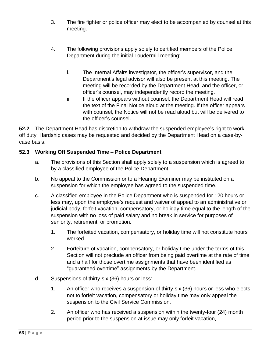- 3. The fire fighter or police officer may elect to be accompanied by counsel at this meeting.
- 4. The following provisions apply solely to certified members of the Police Department during the initial Loudermill meeting:
	- i. The Internal Affairs investigator, the officer's supervisor, and the Department's legal advisor will also be present at this meeting. The meeting will be recorded by the Department Head, and the officer, or officer's counsel, may independently record the meeting.
	- ii. If the officer appears without counsel, the Department Head will read the text of the Final Notice aloud at the meeting. If the officer appears with counsel, the Notice will not be read aloud but will be delivered to the officer's counsel.

**52.2** The Department Head has discretion to withdraw the suspended employee's right to work off duty. Hardship cases may be requested and decided by the Department Head on a case-bycase basis.

## **52.3 Working Off Suspended Time – Police Department**

- a. The provisions of this Section shall apply solely to a suspension which is agreed to by a classified employee of the Police Department.
- b. No appeal to the Commission or to a Hearing Examiner may be instituted on a suspension for which the employee has agreed to the suspended time.
- c. A classified employee in the Police Department who is suspended for 120 hours or less may, upon the employee's request and waiver of appeal to an administrative or judicial body, forfeit vacation, compensatory, or holiday time equal to the length of the suspension with no loss of paid salary and no break in service for purposes of seniority, retirement, or promotion.
	- 1. The forfeited vacation, compensatory, or holiday time will not constitute hours worked.
	- 2. Forfeiture of vacation, compensatory, or holiday time under the terms of this Section will not preclude an officer from being paid overtime at the rate of time and a half for those overtime assignments that have been identified as "guaranteed overtime" assignments by the Department.
- d. Suspensions of thirty-six (36) hours or less:
	- 1. An officer who receives a suspension of thirty-six (36) hours or less who elects not to forfeit vacation, compensatory or holiday time may only appeal the suspension to the Civil Service Commission.
	- 2. An officer who has received a suspension within the twenty-four (24) month period prior to the suspension at issue may only forfeit vacation,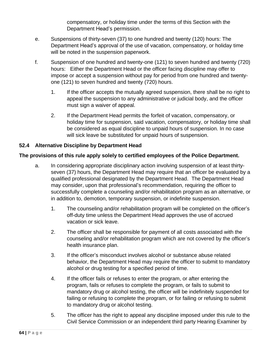compensatory, or holiday time under the terms of this Section with the Department Head's permission.

- e. Suspensions of thirty-seven (37) to one hundred and twenty (120) hours: The Department Head's approval of the use of vacation, compensatory, or holiday time will be noted in the suspension paperwork.
- f. Suspension of one hundred and twenty-one (121) to seven hundred and twenty (720) hours: Either the Department Head or the officer facing discipline may offer to impose or accept a suspension without pay for period from one hundred and twentyone (121) to seven hundred and twenty (720) hours.
	- 1. If the officer accepts the mutually agreed suspension, there shall be no right to appeal the suspension to any administrative or judicial body, and the officer must sign a waiver of appeal.
	- 2. If the Department Head permits the forfeit of vacation, compensatory, or holiday time for suspension, said vacation, compensatory, or holiday time shall be considered as equal discipline to unpaid hours of suspension. In no case will sick leave be substituted for unpaid hours of suspension.

## **52.4 Alternative Discipline by Department Head**

## **The provisions of this rule apply solely to certified employees of the Police Department.**

- a. In considering appropriate disciplinary action involving suspension of at least thirtyseven (37) hours, the Department Head may require that an officer be evaluated by a qualified professional designated by the Department Head. The Department Head may consider, upon that professional's recommendation, requiring the officer to successfully complete a counseling and/or rehabilitation program as an alternative, or in addition to, demotion, temporary suspension, or indefinite suspension.
	- 1. The counseling and/or rehabilitation program will be completed on the officer's off-duty time unless the Department Head approves the use of accrued vacation or sick leave.
	- 2. The officer shall be responsible for payment of all costs associated with the counseling and/or rehabilitation program which are not covered by the officer's health insurance plan.
	- 3. If the officer's misconduct involves alcohol or substance abuse related behavior, the Department Head may require the officer to submit to mandatory alcohol or drug testing for a specified period of time.
	- 4. If the officer fails or refuses to enter the program, or after entering the program, fails or refuses to complete the program, or fails to submit to mandatory drug or alcohol testing, the officer will be indefinitely suspended for failing or refusing to complete the program, or for failing or refusing to submit to mandatory drug or alcohol testing.
	- 5. The officer has the right to appeal any discipline imposed under this rule to the Civil Service Commission or an independent third party Hearing Examiner by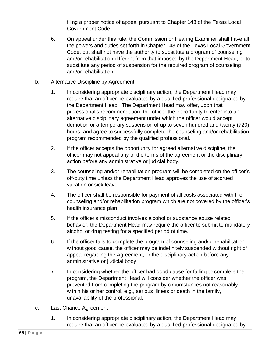filing a proper notice of appeal pursuant to Chapter 143 of the Texas Local Government Code.

- 6. On appeal under this rule, the Commission or Hearing Examiner shall have all the powers and duties set forth in Chapter 143 of the Texas Local Government Code, but shall not have the authority to substitute a program of counseling and/or rehabilitation different from that imposed by the Department Head, or to substitute any period of suspension for the required program of counseling and/or rehabilitation.
- b. Alternative Discipline by Agreement
	- 1. In considering appropriate disciplinary action, the Department Head may require that an officer be evaluated by a qualified professional designated by the Department Head. The Department Head may offer, upon that professional's recommendation, the officer the opportunity to enter into an alternative disciplinary agreement under which the officer would accept demotion or a temporary suspension of up to seven hundred and twenty (720) hours, and agree to successfully complete the counseling and/or rehabilitation program recommended by the qualified professional.
	- 2. If the officer accepts the opportunity for agreed alternative discipline, the officer may not appeal any of the terms of the agreement or the disciplinary action before any administrative or judicial body.
	- 3. The counseling and/or rehabilitation program will be completed on the officer's off-duty time unless the Department Head approves the use of accrued vacation or sick leave.
	- 4. The officer shall be responsible for payment of all costs associated with the counseling and/or rehabilitation program which are not covered by the officer's health insurance plan.
	- 5. If the officer's misconduct involves alcohol or substance abuse related behavior, the Department Head may require the officer to submit to mandatory alcohol or drug testing for a specified period of time.
	- 6. If the officer fails to complete the program of counseling and/or rehabilitation without good cause, the officer may be indefinitely suspended without right of appeal regarding the Agreement, or the disciplinary action before any administrative or judicial body.
	- 7. In considering whether the officer had good cause for failing to complete the program, the Department Head will consider whether the officer was prevented from completing the program by circumstances not reasonably within his or her control, e.g., serious illness or death in the family, unavailability of the professional.
- c. Last Chance Agreement
	- 1. In considering appropriate disciplinary action, the Department Head may require that an officer be evaluated by a qualified professional designated by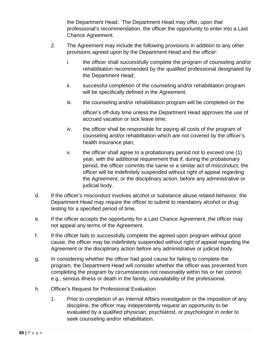the Department Head. The Department Head may offer, upon that professional's recommendation, the officer the opportunity to enter into a Last Chance Agreement.

- 2. The Agreement may include the following provisions in addition to any other provisions agreed upon by the Department Head and the officer:
	- i. the officer shall successfully complete the program of counseling and/or rehabilitation recommended by the qualified professional designated by the Department Head;
	- ii. successful completion of the counseling and/or rehabilitation program will be specifically defined in the Agreement;
	- iii. the counseling and/or rehabilitation program will be completed on the

officer's off-duty time unless the Department Head approves the use of accrued vacation or sick leave time;

- iv. the officer shall be responsible for paying all costs of the program of counseling and/or rehabilitation which are not covered by the officer's health insurance plan;
- v. the officer shall agree to a probationary period not to exceed one (1) year, with the additional requirement that if, during the probationary period, the officer commits the same or a similar act of misconduct, the officer will be indefinitely suspended without right of appeal regarding the Agreement, or the disciplinary action, before any administrative or judicial body.
- d. If the officer's misconduct involves alcohol or substance abuse related behavior, the Department Head may require the officer to submit to mandatory alcohol or drug testing for a specified period of time.
- e. If the officer accepts the opportunity for a Last Chance Agreement, the officer may not appeal any terms of the Agreement.
- f. If the officer fails to successfully complete the agreed upon program without good cause, the officer may be indefinitely suspended without right of appeal regarding the Agreement or the disciplinary action before any administrative or judicial body.
- g. In considering whether the officer had good cause for failing to complete the program, the Department Head will consider whether the officer was prevented from completing the program by circumstances not reasonably within his or her control, e.g., serious illness or death in the family, unavailability of the professional.
- h. Officer's Request for Professional Evaluation
	- 1. Prior to completion of an Internal Affairs investigation or the imposition of any discipline, the officer may independently request an opportunity to be evaluated by a qualified physician, psychiatrist, or psychologist in order to seek counseling and/or rehabilitation.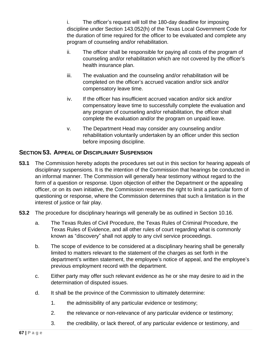i. The officer's request will toll the 180-day deadline for imposing discipline under Section 143.052(h) of the Texas Local Government Code for the duration of time required for the officer to be evaluated and complete any program of counseling and/or rehabilitation.

- ii. The officer shall be responsible for paying all costs of the program of counseling and/or rehabilitation which are not covered by the officer's health insurance plan.
- iii. The evaluation and the counseling and/or rehabilitation will be completed on the officer's accrued vacation and/or sick and/or compensatory leave time.
- iv. If the officer has insufficient accrued vacation and/or sick and/or compensatory leave time to successfully complete the evaluation and any program of counseling and/or rehabilitation, the officer shall complete the evaluation and/or the program on unpaid leave.
- v. The Department Head may consider any counseling and/or rehabilitation voluntarily undertaken by an officer under this section before imposing discipline.

# **SECTION 53. APPEAL OF DISCIPLINARY SUSPENSION**

- **53.1** The Commission hereby adopts the procedures set out in this section for hearing appeals of disciplinary suspensions. It is the intention of the Commission that hearings be conducted in an informal manner. The Commission will generally hear testimony without regard to the form of a question or response. Upon objection of either the Department or the appealing officer, or on its own initiative, the Commission reserves the right to limit a particular form of questioning or response, where the Commission determines that such a limitation is in the interest of justice or fair play.
- **53.2** The procedure for disciplinary hearings will generally be as outlined in Section 10.16.
	- a. The Texas Rules of Civil Procedure, the Texas Rules of Criminal Procedure, the Texas Rules of Evidence, and all other rules of court regarding what is commonly known as "discovery" shall not apply to any civil service proceedings.
	- b. The scope of evidence to be considered at a disciplinary hearing shall be generally limited to matters relevant to the statement of the charges as set forth in the department's written statement, the employee's notice of appeal, and the employee's previous employment record with the department.
	- c. Either party may offer such relevant evidence as he or she may desire to aid in the determination of disputed issues.
	- d. It shall be the province of the Commission to ultimately determine:
		- 1. the admissibility of any particular evidence or testimony;
		- 2. the relevance or non-relevance of any particular evidence or testimony;
		- 3. the credibility, or lack thereof, of any particular evidence or testimony, and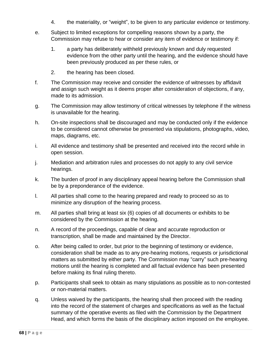- 4. the materiality, or "weight", to be given to any particular evidence or testimony.
- e. Subject to limited exceptions for compelling reasons shown by a party, the Commission may refuse to hear or consider any item of evidence or testimony if:
	- 1. a party has deliberately withheld previously known and duly requested evidence from the other party until the hearing, and the evidence should have been previously produced as per these rules, or
	- 2. the hearing has been closed.
- f. The Commission may receive and consider the evidence of witnesses by affidavit and assign such weight as it deems proper after consideration of objections, if any, made to its admission.
- g. The Commission may allow testimony of critical witnesses by telephone if the witness is unavailable for the hearing.
- h. On-site inspections shall be discouraged and may be conducted only if the evidence to be considered cannot otherwise be presented via stipulations, photographs, video, maps, diagrams, etc.
- i. All evidence and testimony shall be presented and received into the record while in open session.
- j. Mediation and arbitration rules and processes do not apply to any civil service hearings.
- k. The burden of proof in any disciplinary appeal hearing before the Commission shall be by a preponderance of the evidence.
- l. All parties shall come to the hearing prepared and ready to proceed so as to minimize any disruption of the hearing process.
- m. All parties shall bring at least six (6) copies of all documents or exhibits to be considered by the Commission at the hearing.
- n. A record of the proceedings, capable of clear and accurate reproduction or transcription, shall be made and maintained by the Director.
- o. After being called to order, but prior to the beginning of testimony or evidence, consideration shall be made as to any pre-hearing motions, requests or jurisdictional matters as submitted by either party. The Commission may "carry" such pre-hearing motions until the hearing is completed and all factual evidence has been presented before making its final ruling thereto.
- p. Participants shall seek to obtain as many stipulations as possible as to non-contested or non-material matters.
- q. Unless waived by the participants, the hearing shall then proceed with the reading into the record of the statement of charges and specifications as well as the factual summary of the operative events as filed with the Commission by the Department Head, and which forms the basis of the disciplinary action imposed on the employee.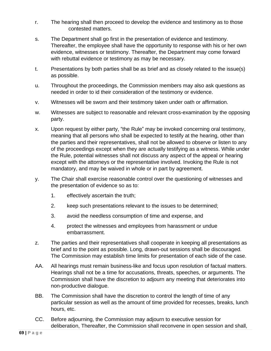- r. The hearing shall then proceed to develop the evidence and testimony as to those contested matters.
- s. The Department shall go first in the presentation of evidence and testimony. Thereafter, the employee shall have the opportunity to response with his or her own evidence, witnesses or testimony. Thereafter, the Department may come forward with rebuttal evidence or testimony as may be necessary.
- t. Presentations by both parties shall be as brief and as closely related to the issue(s) as possible.
- u. Throughout the proceedings, the Commission members may also ask questions as needed in order to id their consideration of the testimony or evidence.
- v. Witnesses will be sworn and their testimony taken under oath or affirmation.
- w. Witnesses are subject to reasonable and relevant cross-examination by the opposing party.
- x. Upon request by either party, "the Rule" may be invoked concerning oral testimony, meaning that all persons who shall be expected to testify at the hearing, other than the parties and their representatives, shall not be allowed to observe or listen to any of the proceedings except when they are actually testifying as a witness. While under the Rule, potential witnesses shall not discuss any aspect of the appeal or hearing except with the attorneys or the representative involved. Invoking the Rule is not mandatory, and may be waived in whole or in part by agreement.
- y. The Chair shall exercise reasonable control over the questioning of witnesses and the presentation of evidence so as to:
	- 1. effectively ascertain the truth;
	- 2. keep such presentations relevant to the issues to be determined;
	- 3. avoid the needless consumption of time and expense, and
	- 4. protect the witnesses and employees from harassment or undue embarrassment.
- z. The parties and their representatives shall cooperate in keeping all presentations as brief and to the point as possible. Long, drawn-out sessions shall be discouraged. The Commission may establish time limits for presentation of each side of the case.
- AA. All hearings must remain business-like and focus upon resolution of factual matters. Hearings shall not be a time for accusations, threats, speeches, or arguments. The Commission shall have the discretion to adjourn any meeting that deteriorates into non-productive dialogue.
- BB. The Commission shall have the discretion to control the length of time of any particular session as well as the amount of time provided for recesses, breaks, lunch hours, etc.
- CC. Before adjourning, the Commission may adjourn to executive session for deliberation, Thereafter, the Commission shall reconvene in open session and shall,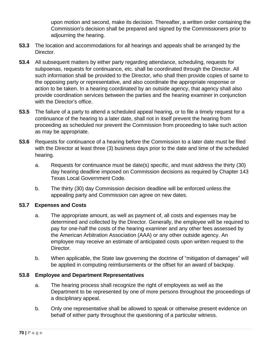upon motion and second, make its decision. Thereafter, a written order containing the Commission's decision shall be prepared and signed by the Commissioners prior to adjourning the hearing.

- **53.3** The location and accommodations for all hearings and appeals shall be arranged by the Director.
- **53.4** All subsequent matters by either party regarding attendance, scheduling, requests for subpoenas, requests for continuance, etc. shall be coordinated through the Director. All such information shall be provided to the Director, who shall then provide copies of same to the opposing party or representative, and also coordinate the appropriate response or action to be taken. In a hearing coordinated by an outside agency, that agency shall also provide coordination services between the parties and the hearing examiner in conjunction with the Director's office.
- **53.5** The failure of a party to attend a scheduled appeal hearing, or to file a timely request for a continuance of the hearing to a later date, shall not in itself prevent the hearing from proceeding as scheduled nor prevent the Commission from proceeding to take such action as may be appropriate.
- **53.6** Requests for continuance of a hearing before the Commission to a later date must be filed with the Director at least three (3) business days prior to the date and time of the scheduled hearing.
	- a. Requests for continuance must be date(s) specific, and must address the thirty (30) day hearing deadline imposed on Commission decisions as required by Chapter 143 Texas Local Government Code.
	- b. The thirty (30) day Commission decision deadline will be enforced unless the appealing party and Commission can agree on new dates.

### **53.7 Expenses and Costs**

- a. The appropriate amount, as well as payment of, all costs and expenses may be determined and collected by the Director. Generally, the employee will be required to pay for one-half the costs of the hearing examiner and any other fees assessed by the American Arbitration Association (AAA) or any other outside agency. An employee may receive an estimate of anticipated costs upon written request to the Director.
- b. When applicable, the State law governing the doctrine of "mitigation of damages" will be applied in computing reimbursements or the offset for an award of backpay.

#### **53.8 Employee and Department Representatives**

- a. The hearing process shall recognize the right of employees as well as the Department to be represented by one of more persons throughout the proceedings of a disciplinary appeal.
- b. Only one representative shall be allowed to speak or otherwise present evidence on behalf of either party throughout the questioning of a particular witness.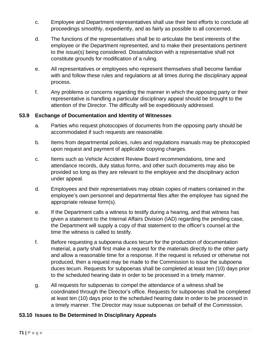- c. Employee and Department representatives shall use their best efforts to conclude all proceedings smoothly, expediently, and as fairly as possible to all concerned.
- d. The functions of the representatives shall be to articulate the best interests of the employee or the Department represented, and to make their presentations pertinent to the issue(s) being considered. Dissatisfaction with a representative shall not constitute grounds for modification of a ruling.
- e. All representatives or employees who represent themselves shall become familiar with and follow these rules and regulations at all times during the disciplinary appeal process.
- f. Any problems or concerns regarding the manner in which the opposing party or their representative is handling a particular disciplinary appeal should be brought to the attention of the Director. The difficulty will be expeditiously addressed.

### **53.9 Exchange of Documentation and Identity of Witnesses**

- a. Parties who request photocopies of documents from the opposing party should be accommodated if such requests are reasonable.
- b. Items from departmental policies, rules and regulations manuals may be photocopied upon request and payment of applicable copying charges.
- c. Items such as Vehicle Accident Review Board recommendations, time and attendance records, duty status forms, and other such documents may also be provided so long as they are relevant to the employee and the disciplinary action under appeal.
- d. Employees and their representatives may obtain copies of matters contained in the employee's own personnel and departmental files after the employee has signed the appropriate release form(s).
- e. If the Department calls a witness to testify during a hearing, and that witness has given a statement to the Internal Affairs Division (IAD) regarding the pending case, the Department will supply a copy of that statement to the officer's counsel at the time the witness is called to testify.
- f. Before requesting a subpoena duces tecum for the production of documentation material, a party shall first make a request for the materials directly to the other party and allow a reasonable time for a response. If the request is refused or otherwise not produced, then a request may be made to the Commission to issue the subpoena duces tecum. Requests for subpoenas shall be completed at least ten (10) days prior to the scheduled hearing date in order to be processed in a timely manner.
- g. All requests for subpoenas to compel the attendance of a witness shall be coordinated through the Director's office. Requests for subpoenas shall be completed at least ten (10) days prior to the scheduled hearing date in order to be processed in a timely manner. The Director may issue subpoenas on behalf of the Commission.

### **53.10 Issues to Be Determined In Disciplinary Appeals**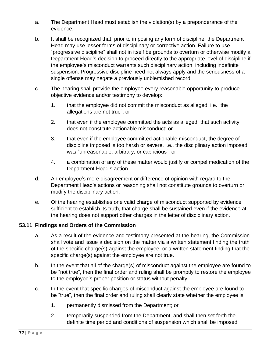- a. The Department Head must establish the violation(s) by a preponderance of the evidence.
- b. It shall be recognized that, prior to imposing any form of discipline, the Department Head may use lesser forms of disciplinary or corrective action. Failure to use "progressive discipline" shall not in itself be grounds to overturn or otherwise modify a Department Head's decision to proceed directly to the appropriate level of discipline if the employee's misconduct warrants such disciplinary action, including indefinite suspension. Progressive discipline need not always apply and the seriousness of a single offense may negate a previously unblemished record.
- c. The hearing shall provide the employee every reasonable opportunity to produce objective evidence and/or testimony to develop:
	- 1. that the employee did not commit the misconduct as alleged, i.e. "the allegations are not true"; or
	- 2. that even if the employee committed the acts as alleged, that such activity does not constitute actionable misconduct; or
	- 3. that even if the employee committed actionable misconduct, the degree of discipline imposed is too harsh or severe, i.e., the disciplinary action imposed was "unreasonable, arbitrary, or capricious"; or
	- 4. a combination of any of these matter would justify or compel medication of the Department Head's action.
- d. An employee's mere disagreement or difference of opinion with regard to the Department Head's actions or reasoning shall not constitute grounds to overturn or modify the disciplinary action.
- e. Of the hearing establishes one valid charge of misconduct supported by evidence sufficient to establish its truth, that charge shall be sustained even if the evidence at the hearing does not support other charges in the letter of disciplinary action.

## **53.11 Findings and Orders of the Commission**

- a. As a result of the evidence and testimony presented at the hearing, the Commission shall vote and issue a decision on the matter via a written statement finding the truth of the specific charge(s) against the employee, or a written statement finding that the specific charge(s) against the employee are not true.
- b. In the event that all of the charge(s) of misconduct against the employee are found to be "not true", then the final order and ruling shall be promptly to restore the employee to the employee's proper position or status without penalty.
- c. In the event that specific charges of misconduct against the employee are found to be "true", then the final order and ruling shall clearly state whether the employee is:
	- 1. permanently dismissed from the Department; or
	- 2. temporarily suspended from the Department, and shall then set forth the definite time period and conditions of suspension which shall be imposed.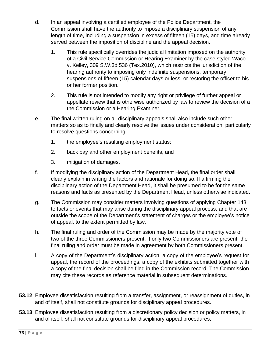- d. In an appeal involving a certified employee of the Police Department, the Commission shall have the authority to impose a disciplinary suspension of any length of time, including a suspension in excess of fifteen (15) days, and time already served between the imposition of discipline and the appeal decision.
	- 1. This rule specifically overrides the judicial limitation imposed on the authority of a Civil Service Commission or Hearing Examiner by the case styled Waco v. Kelley, 309 S.W.3d 536 (Tex.2010), which restricts the jurisdiction of the hearing authority to imposing only indefinite suspensions, temporary suspensions of fifteen (15) calendar days or less, or restoring the officer to his or her former position.
	- 2. This rule is not intended to modify any right or privilege of further appeal or appellate review that is otherwise authorized by law to review the decision of a the Commission or a Hearing Examiner.
- e. The final written ruling on all disciplinary appeals shall also include such other matters so as to finally and clearly resolve the issues under consideration, particularly to resolve questions concerning:
	- 1. the employee's resulting employment status;
	- 2. back pay and other employment benefits, and
	- 3. mitigation of damages.
- f. If modifying the disciplinary action of the Department Head, the final order shall clearly explain in writing the factors and rationale for doing so. If affirming the disciplinary action of the Department Head, it shall be presumed to be for the same reasons and facts as presented by the Department Head, unless otherwise indicated.
- g. The Commission may consider matters involving questions of applying Chapter 143 to facts or events that may arise during the disciplinary appeal process, and that are outside the scope of the Department's statement of charges or the employee's notice of appeal, to the extent permitted by law.
- h. The final ruling and order of the Commission may be made by the majority vote of two of the three Commissioners present. If only two Commissioners are present, the final ruling and order must be made in agreement by both Commissioners present.
- i. A copy of the Department's disciplinary action, a copy of the employee's request for appeal, the record of the proceedings, a copy of the exhibits submitted together with a copy of the final decision shall be filed in the Commission record. The Commission may cite these records as reference material in subsequent determinations.
- **53.12** Employee dissatisfaction resulting from a transfer, assignment, or reassignment of duties, in and of itself, shall not constitute grounds for disciplinary appeal procedures.
- **53.13** Employee dissatisfaction resulting from a discretionary policy decision or policy matters, in and of itself, shall not constitute grounds for disciplinary appeal procedures.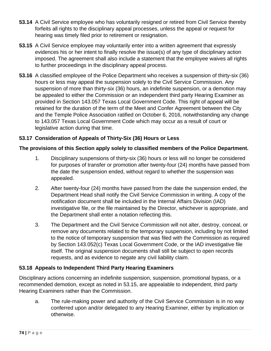- **53.14** A Civil Service employee who has voluntarily resigned or retired from Civil Service thereby forfeits all rights to the disciplinary appeal processes, unless the appeal or request for hearing was timely filed prior to retirement or resignation.
- **53.15** A Civil Service employee may voluntarily enter into a written agreement that expressly evidences his or her intent to finally resolve the issue(s) of any type of disciplinary action imposed. The agreement shall also include a statement that the employee waives all rights to further proceedings in the disciplinary appeal process.
- **53.16** A classified employee of the Police Department who receives a suspension of thirty-six (36) hours or less may appeal the suspension solely to the Civil Service Commission. Any suspension of more than thirty-six (36) hours, an indefinite suspension, or a demotion may be appealed to either the Commission or an independent third party Hearing Examiner as provided in Section 143.057 Texas Local Government Code. This right of appeal will be retained for the duration of the term of the Meet and Confer Agreement between the City and the Temple Police Association ratified on October 6, 2016, notwithstanding any change to 143.057 Texas Local Government Code which may occur as a result of court or legislative action during that time.

## **53.17 Consideration of Appeals of Thirty-Six (36) Hours or Less**

## **The provisions of this Section apply solely to classified members of the Police Department.**

- 1. Disciplinary suspensions of thirty-six (36) hours or less will no longer be considered for purposes of transfer or promotion after twenty-four (24) months have passed from the date the suspension ended, without regard to whether the suspension was appealed.
- 2. After twenty-four (24) months have passed from the date the suspension ended, the Department Head shall notify the Civil Service Commission in writing. A copy of the notification document shall be included in the Internal Affairs Division (IAD) investigative file, or the file maintained by the Director, whichever is appropriate, and the Department shall enter a notation reflecting this.
- 3. The Department and the Civil Service Commission will not alter, destroy, conceal, or remove any documents related to the temporary suspension, including by not limited to the notice of temporary suspension that was filed with the Commission as required by Section 143.052(c) Texas Local Government Code, or the IAD investigative file itself. The original suspension documents shall still be subject to open records requests, and as evidence to negate any civil liability claim.

## **53.18 Appeals to Independent Third Party Hearing Examiners**

Disciplinary actions concerning an indefinite suspension, suspension, promotional bypass, or a recommended demotion, except as noted in 53.15, are appealable to independent, third party Hearing Examiners rather than the Commission.

a. The rule-making power and authority of the Civil Service Commission is in no way conferred upon and/or delegated to any Hearing Examiner, either by implication or otherwise.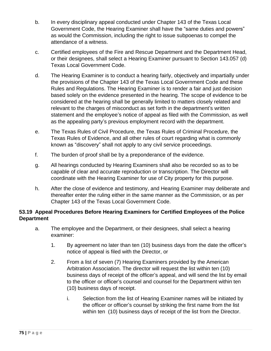- b. In every disciplinary appeal conducted under Chapter 143 of the Texas Local Government Code, the Hearing Examiner shall have the "same duties and powers" as would the Commission, including the right to issue subpoenas to compel the attendance of a witness.
- c. Certified employees of the Fire and Rescue Department and the Department Head, or their designees, shall select a Hearing Examiner pursuant to Section 143.057 (d) Texas Local Government Code.
- d. The Hearing Examiner is to conduct a hearing fairly, objectively and impartially under the provisions of the Chapter 143 of the Texas Local Government Code and these Rules and Regulations. The Hearing Examiner is to render a fair and just decision based solely on the evidence presented in the hearing. The scope of evidence to be considered at the hearing shall be generally limited to matters closely related and relevant to the charges of misconduct as set forth in the department's written statement and the employee's notice of appeal as filed with the Commission, as well as the appealing party's previous employment record with the department.
- e. The Texas Rules of Civil Procedure, the Texas Rules of Criminal Procedure, the Texas Rules of Evidence, and all other rules of court regarding what is commonly known as "discovery" shall not apply to any civil service proceedings.
- f. The burden of proof shall be by a preponderance of the evidence.
- g. All hearings conducted by Hearing Examiners shall also be recorded so as to be capable of clear and accurate reproduction or transcription. The Director will coordinate with the Hearing Examiner for use of City property for this purpose.
- h. After the close of evidence and testimony, and Hearing Examiner may deliberate and thereafter enter the ruling either in the same manner as the Commission, or as per Chapter 143 of the Texas Local Government Code.

# **53.19 Appeal Procedures Before Hearing Examiners for Certified Employees of the Police Department**

- a. The employee and the Department, or their designees, shall select a hearing examiner:
	- 1. By agreement no later than ten (10) business days from the date the officer's notice of appeal is filed with the Director, or
	- 2. From a list of seven (7) Hearing Examiners provided by the American Arbitration Association. The director will request the list within ten (10) business days of receipt of the officer's appeal, and will send the list by email to the officer or officer's counsel and counsel for the Department within ten (10) business days of receipt.
		- i. Selection from the list of Hearing Examiner names will be initiated by the officer or officer's counsel by striking the first name from the list within ten (10) business days of receipt of the list from the Director.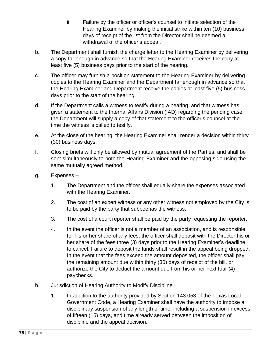- ii. Failure by the officer or officer's counsel to initiate selection of the Hearing Examiner by making the initial strike within ten (10) business days of receipt of the list from the Director shall be deemed a withdrawal of the officer's appeal.
- b. The Department shall furnish the charge letter to the Hearing Examiner by delivering a copy far enough in advance so that the Hearing Examiner receives the copy at least five (5) business days prior to the start of the hearing.
- c. The officer may furnish a position statement to the Hearing Examiner by delivering copies to the Hearing Examiner and the Department far enough in advance so that the Hearing Examiner and Department receive the copies at least five (5) business days prior to the start of the hearing.
- d. If the Department calls a witness to testify during a hearing, and that witness has given a statement to the Internal Affairs Division (IAD) regarding the pending case, the Department will supply a copy of that statement to the officer's counsel at the time the witness is called to testify.
- e. At the close of the hearing, the Hearing Examiner shall render a decision within thirty (30) business days.
- f. Closing briefs will only be allowed by mutual agreement of the Parties, and shall be sent simultaneously to both the Hearing Examiner and the opposing side using the same mutually agreed method.
- g. Expenses
	- 1. The Department and the officer shall equally share the expenses associated with the Hearing Examiner.
	- 2. The cost of an expert witness or any other witness not employed by the City is to be paid by the party that subpoenas the witness.
	- 3. The cost of a court reporter shall be paid by the party requesting the reporter.
	- 4. In the event the officer is not a member of an association, and is responsible for his or her share of any fees, the officer shall deposit with the Director his or her share of the fees three (3) days prior to the Hearing Examiner's deadline to cancel. Failure to deposit the funds shall result in the appeal being dropped. In the event that the fees exceed the amount deposited, the officer shall pay the remaining amount due within thirty (30) days of receipt of the bill, or authorize the City to deduct the amount due from his or her next four (4) paychecks.
- h. Jurisdiction of Hearing Authority to Modify Discipline
	- 1. In addition to the authority provided by Section 143.053 of the Texas Local Government Code, a Hearing Examiner shall have the authority to impose a disciplinary suspension of any length of time, including a suspension in excess of fifteen (15) days, and time already served between the imposition of discipline and the appeal decision.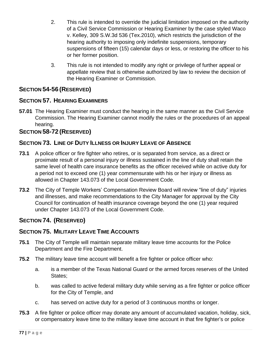- 2. This rule is intended to override the judicial limitation imposed on the authority of a Civil Service Commission or Hearing Examiner by the case styled Waco v. Kelley, 309 S.W.3d 536 (Tex.2010), which restricts the jurisdiction of the hearing authority to imposing only indefinite suspensions, temporary suspensions of fifteen (15) calendar days or less, or restoring the officer to his or her former position.
- 3. This rule is not intended to modify any right or privilege of further appeal or appellate review that is otherwise authorized by law to review the decision of the Hearing Examiner or Commission.

# **SECTION 54-56 (RESERVED)**

# **SECTION 57. HEARING EXAMINERS**

**57.01** The Hearing Examiner must conduct the hearing in the same manner as the Civil Service Commission. The Hearing Examiner cannot modify the rules or the procedures of an appeal hearing.

## **SECTION 58-72 (RESERVED)**

## **SECTION 73. LINE OF DUTY ILLNESS OR INJURY LEAVE OF ABSENCE**

- **73.1** A police officer or fire fighter who retires, or is separated from service, as a direct or proximate result of a personal injury or illness sustained in the line of duty shall retain the same level of health care insurance benefits as the officer received while on active duty for a period not to exceed one (1) year commensurate with his or her injury or illness as allowed in Chapter 143.073 of the Local Government Code.
- **73.2** The City of Temple Workers' Compensation Review Board will review "line of duty" injuries and illnesses, and make recommendations to the City Manager for approval by the City Council for continuation of health insurance coverage beyond the one (1) year required under Chapter 143.073 of the Local Government Code.

# **SECTION 74. (RESERVED)**

## **SECTION 75. MILITARY LEAVE TIME ACCOUNTS**

- **75.1** The City of Temple will maintain separate military leave time accounts for the Police Department and the Fire Department.
- **75.2** The military leave time account will benefit a fire fighter or police officer who:
	- a. is a member of the Texas National Guard or the armed forces reserves of the United States;
	- b. was called to active federal military duty while serving as a fire fighter or police officer for the City of Temple, and
	- c. has served on active duty for a period of 3 continuous months or longer.
- **75.3** A fire fighter or police officer may donate any amount of accumulated vacation, holiday, sick, or compensatory leave time to the military leave time account in that fire fighter's or police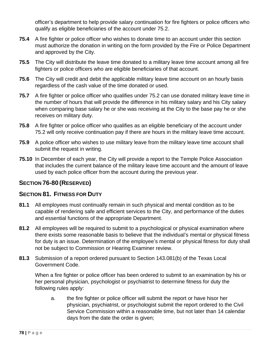officer's department to help provide salary continuation for fire fighters or police officers who qualify as eligible beneficiaries of the account under 75.2.

- **75.4** A fire fighter or police officer who wishes to donate time to an account under this section must authorize the donation in writing on the form provided by the Fire or Police Department and approved by the City.
- **75.5** The City will distribute the leave time donated to a military leave time account among all fire fighters or police officers who are eligible beneficiaries of that account.
- **75.6** The City will credit and debit the applicable military leave time account on an hourly basis regardless of the cash value of the time donated or used.
- **75.7** A fire fighter or police officer who qualifies under 75.2 can use donated military leave time in the number of hours that will provide the difference in his military salary and his City salary when comparing base salary he or she was receiving at the City to the base pay he or she receives on military duty.
- **75.8** A fire fighter or police officer who qualifies as an eligible beneficiary of the account under 75.2 will only receive continuation pay if there are hours in the military leave time account.
- **75.9** A police officer who wishes to use military leave from the military leave time account shall submit the request in writing.
- **75.10** In December of each year, the City will provide a report to the Temple Police Association that includes the current balance of the military leave time account and the amount of leave used by each police officer from the account during the previous year.

# **SECTION 76-80 (RESERVED)**

# **SECTION 81. FITNESS FOR DUTY**

- **81.1** All employees must continually remain in such physical and mental condition as to be capable of rendering safe and efficient services to the City, and performance of the duties and essential functions of the appropriate Department.
- **81.2** All employees will be required to submit to a psychological or physical examination where there exists some reasonable basis to believe that the individual's mental or physical fitness for duty is an issue. Determination of the employee's mental or physical fitness for duty shall not be subject to Commission or Hearing Examiner review.
- **81.3** Submission of a report ordered pursuant to Section 143.081(b) of the Texas Local Government Code.

When a fire fighter or police officer has been ordered to submit to an examination by his or her personal physician, psychologist or psychiatrist to determine fitness for duty the following rules apply:

a. the fire fighter or police officer will submit the report or have hisor her physician, psychiatrist, or psychologist submit the report ordered to the Civil Service Commission within a reasonable time, but not later than 14 calendar days from the date the order is given;